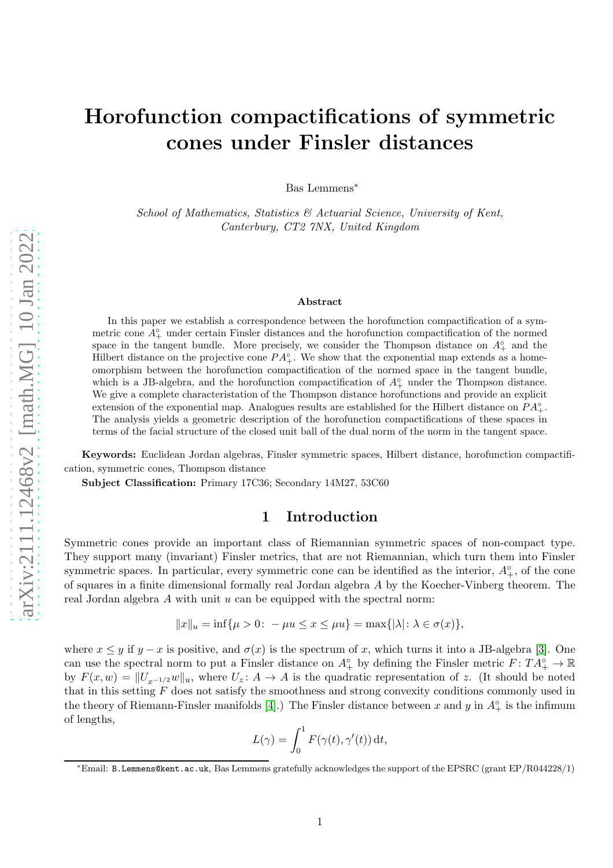# Horofunction compactifications of symmetric cones under Finsler distances

Bas Lemmens<sup>∗</sup>

School of Mathematics, Statistics & Actuarial Science, University of Kent, Canterbury, CT2 7NX, United Kingdom

#### Abstract

In this paper we establish a correspondence between the horofunction compactification of a symmetric cone  $A_{+}^{\circ}$  under certain Finsler distances and the horofunction compactification of the normed space in the tangent bundle. More precisely, we consider the Thompson distance on  $A^{\circ}_{+}$  and the Hilbert distance on the projective cone  $PA^{\circ}_{+}$ . We show that the exponential map extends as a homeomorphism between the horofunction compactification of the normed space in the tangent bundle, which is a JB-algebra, and the horofunction compactification of  $A^{\circ}_{+}$  under the Thompson distance. We give a complete characteristation of the Thompson distance horofunctions and provide an explicit extension of the exponential map. Analogues results are established for the Hilbert distance on  $PA_+^{\circ}$ . The analysis yields a geometric description of the horofunction compactifications of these spaces in terms of the facial structure of the closed unit ball of the dual norm of the norm in the tangent space.

Keywords: Euclidean Jordan algebras, Finsler symmetric spaces, Hilbert distance, horofunction compactification, symmetric cones, Thompson distance

Subject Classification: Primary 17C36; Secondary 14M27, 53C60

# 1 Introduction

Symmetric cones provide an important class of Riemannian symmetric spaces of non-compact type. They support many (invariant) Finsler metrics, that are not Riemannian, which turn them into Finsler symmetric spaces. In particular, every symmetric cone can be identified as the interior,  $A_+^{\circ}$ , of the cone of squares in a finite dimensional formally real Jordan algebra A by the Koecher-Vinberg theorem. The real Jordan algebra  $A$  with unit  $u$  can be equipped with the spectral norm:

$$
||x||_u = \inf{\mu > 0: -\mu u \le x \le \mu u} = \max{\{|\lambda|: \lambda \in \sigma(x)\}},
$$

where  $x \leq y$  if  $y - x$  is positive, and  $\sigma(x)$  is the spectrum of x, which turns it into a JB-algebra [\[3\]](#page-20-0). One can use the spectral norm to put a Finsler distance on  $A^{\circ}_{+}$  by defining the Finsler metric  $F: TA^{\circ}_{+} \to \mathbb{R}$ by  $F(x, w) = ||U_{x^{-1/2}}w||_u$ , where  $U_z : A \to A$  is the quadratic representation of z. (It should be noted that in this setting  $F$  does not satisfy the smoothness and strong convexity conditions commonly used in the theory of Riemann-Finsler manifolds [\[4\]](#page-20-1).) The Finsler distance between x and y in  $A_+^{\circ}$  is the infimum of lengths,

$$
L(\gamma) = \int_0^1 F(\gamma(t), \gamma'(t)) dt,
$$

<sup>∗</sup>Email: B.Lemmens@kent.ac.uk, Bas Lemmens gratefully acknowledges the support of the EPSRC (grant EP/R044228/1)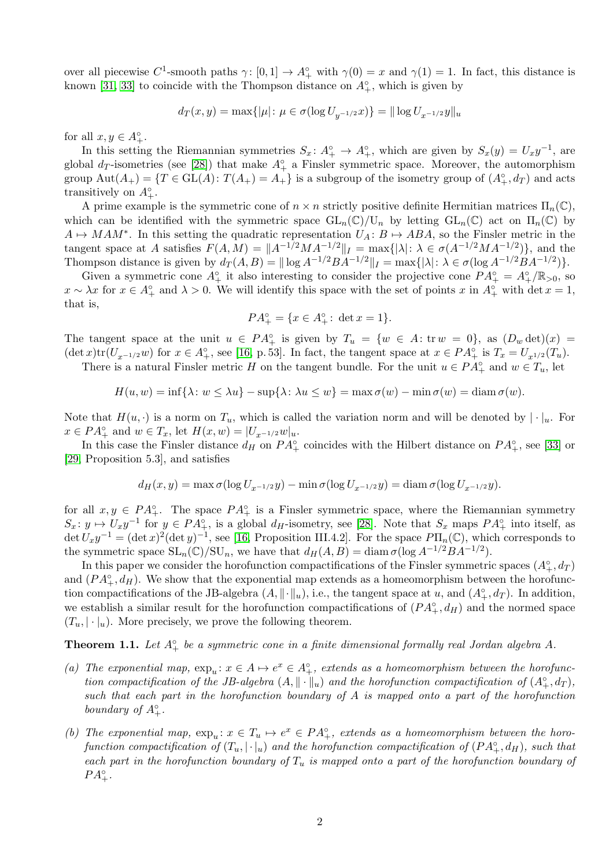over all piecewise  $C^1$ -smooth paths  $\gamma: [0,1] \to A^{\circ}_+$  with  $\gamma(0) = x$  and  $\gamma(1) = 1$ . In fact, this distance is known [\[31,](#page-21-0) [33\]](#page-21-1) to coincide with the Thompson distance on  $A^{\circ}_{+}$ , which is given by

$$
d_T(x, y) = \max\{|\mu| \colon \mu \in \sigma(\log U_{y^{-1/2}} x)\} = ||\log U_{x^{-1/2}} y||_u
$$

for all  $x, y \in A_+^{\circ}$ .

In this setting the Riemannian symmetries  $S_x: A_+^{\circ} \to A_+^{\circ}$ , which are given by  $S_x(y) = U_x y^{-1}$ , are global  $d_T$ -isometries (see [\[28\]](#page-21-2)) that make  $A^{\circ}_{+}$  a Finsler symmetric space. Moreover, the automorphism group  $\text{Aut}(A_+) = \{T \in \text{GL}(A) : T(A_+) = A_+\}$  is a subgroup of the isometry group of  $(A_+^{\circ}, d_T)$  and acts transitively on  $A^{\circ}_{+}$ .

A prime example is the symmetric cone of  $n \times n$  strictly positive definite Hermitian matrices  $\Pi_n(\mathbb{C})$ , which can be identified with the symmetric space  $GL_n(\mathbb{C})/U_n$  by letting  $GL_n(\mathbb{C})$  act on  $\Pi_n(\mathbb{C})$  by  $A \mapsto MAM^*$ . In this setting the quadratic representation  $U_A: B \mapsto ABA$ , so the Finsler metric in the tangent space at A satisfies  $F(A, M) = ||A^{-1/2}MA^{-1/2}||_I = \max{(|\lambda|: \lambda \in \sigma(A^{-1/2}MA^{-1/2})\},\$ and the Thompson distance is given by  $d_T(A, B) = ||\log A^{-1/2}BA^{-1/2}||_I = \max\{|\lambda|: \lambda \in \sigma(\log A^{-1/2}BA^{-1/2})\}.$ 

Given a symmetric cone  $A_+^{\circ}$  it also interesting to consider the projective cone  $PA_+^{\circ} = A_+^{\circ}/\mathbb{R}_{>0}$ , so  $x \sim \lambda x$  for  $x \in A_+^{\circ}$  and  $\lambda > 0$ . We will identify this space with the set of points x in  $A_+^{\circ}$  with det  $x = 1$ , that is,

$$
PA_+^{\circ} = \{ x \in A_+^{\circ} : \det x = 1 \}.
$$

The tangent space at the unit  $u \in PA_+^{\circ}$  is given by  $T_u = \{w \in A: \text{tr } w = 0\}$ , as  $(D_w \det)(x) =$  $(\det x)\text{tr}(U_{x^{-1/2}}w)$  for  $x \in A_+^{\circ}$ , see [\[16,](#page-20-2) p. 53]. In fact, the tangent space at  $x \in PA_+^{\circ}$  is  $T_x = U_{x^{1/2}}(T_u)$ .

There is a natural Finsler metric H on the tangent bundle. For the unit  $u \in PA_+^{\circ}$  and  $w \in T_u$ , let

$$
H(u, w) = \inf \{ \lambda : w \le \lambda u \} - \sup \{ \lambda : \lambda u \le w \} = \max \sigma(w) - \min \sigma(w) = \operatorname{diam} \sigma(w).
$$

Note that  $H(u, \cdot)$  is a norm on  $T_u$ , which is called the variation norm and will be denoted by  $|\cdot|_u$ . For  $x \in PA_+^{\circ}$  and  $w \in T_x$ , let  $H(x, w) = |U_{x^{-1/2}}w|_u$ .

In this case the Finsler distance  $d_H$  on  $PA^{\circ}_+$  coincides with the Hilbert distance on  $PA^{\circ}_+$ , see [\[33\]](#page-21-1) or [\[29,](#page-21-3) Proposition 5.3], and satisfies

$$
d_H(x,y) = \max \sigma(\log U_{x^{-1/2}}y) - \min \sigma(\log U_{x^{-1/2}}y) = \text{diam }\sigma(\log U_{x^{-1/2}}y).
$$

for all  $x, y \in PA<sup>o</sup><sub>+</sub>$ . The space  $PA<sup>o</sup><sub>+</sub>$  is a Finsler symmetric space, where the Riemannian symmetry  $S_x: y \mapsto U_x y^{-1}$  for  $y \in PA<sup>°</sup><sub>+</sub>$ , is a global  $d_H$ -isometry, see [\[28\]](#page-21-2). Note that  $S_x$  maps  $PA<sup>°</sup><sub>+</sub>$  into itself, as  $\det U_x y^{-1} = (\det x)^2 (\det y)^{-1}$ , see [\[16,](#page-20-2) Proposition III.4.2]. For the space  $P\Pi_n(\mathbb{C})$ , which corresponds to the symmetric space  $SL_n(\mathbb{C})/SU_n$ , we have that  $d_H(A, B) = \text{diam }\sigma(\log A^{-1/2}BA^{-1/2}).$ 

In this paper we consider the horofunction compactifications of the Finsler symmetric spaces  $(A_+^{\circ}, d_T)$ and  $(PA_+^{\circ}, d_H)$ . We show that the exponential map extends as a homeomorphism between the horofunction compactifications of the JB-algebra  $(A, \|\cdot\|_u)$ , i.e., the tangent space at u, and  $(A_+^{\circ}, d_T)$ . In addition, we establish a similar result for the horofunction compactifications of  $(PA^{\circ}_{+}, d_H)$  and the normed space  $(T_u, |\cdot|_u)$ . More precisely, we prove the following theorem.

<span id="page-1-0"></span>**Theorem 1.1.** Let  $A^{\circ}_{+}$  be a symmetric cone in a finite dimensional formally real Jordan algebra A.

- (a) The exponential map,  $\exp_u: x \in A \mapsto e^x \in A_+^{\circ}$ , extends as a homeomorphism between the horofunction compactification of the JB-algebra  $(A, \|\cdot\|_u)$  and the horofunction compactification of  $(A_+^{\circ}, d_T)$ , such that each part in the horofunction boundary of A is mapped onto a part of the horofunction boundary of  $A_+^{\circ}$ .
- (b) The exponential map,  $\exp_u: x \in T_u \mapsto e^x \in PA^{\circ}_+$ , extends as a homeomorphism between the horofunction compactification of  $(T_u, |\cdot|_u)$  and the horofunction compactification of  $(PA_+^{\circ}, d_H)$ , such that each part in the horofunction boundary of  $T_u$  is mapped onto a part of the horofunction boundary of  $PA_+^{\circ}$ .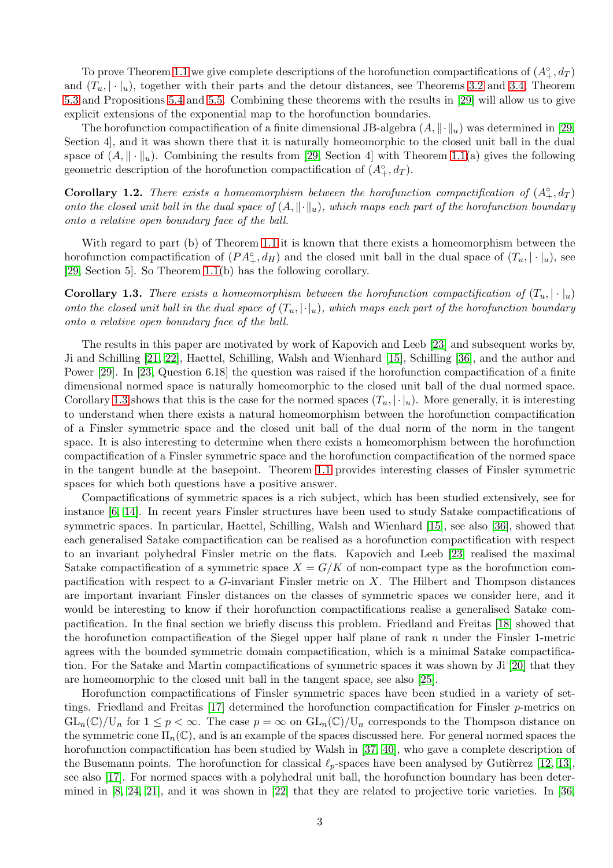To prove Theorem [1.1](#page-1-0) we give complete descriptions of the horofunction compactifications of  $(A_+^{\circ}, d_T)$ and  $(T_u, |\cdot|_u)$ , together with their parts and the detour distances, see Theorems [3.2](#page-6-0) and [3.4,](#page-8-0) Theorem [5.3](#page-15-0) and Propositions [5.4](#page-15-1) and [5.5.](#page-16-0) Combining these theorems with the results in [\[29\]](#page-21-3) will allow us to give explicit extensions of the exponential map to the horofunction boundaries.

The horofunction compactification of a finite dimensional JB-algebra  $(A, \|\cdot\|_u)$  was determined in [\[29,](#page-21-3) Section 4], and it was shown there that it is naturally homeomorphic to the closed unit ball in the dual space of  $(A, \|\cdot\|_u)$ . Combining the results from [\[29,](#page-21-3) Section 4] with Theorem [1.1\(](#page-1-0)a) gives the following geometric description of the horofunction compactification of  $(A^{\circ}_{+}, d_T)$ .

**Corollary 1.2.** There exists a homeomorphism between the horofunction compactification of  $(A_+^{\circ}, d_T)$ onto the closed unit ball in the dual space of  $(A, \|\cdot\|_u)$ , which maps each part of the horofunction boundary onto a relative open boundary face of the ball.

With regard to part (b) of Theorem [1.1](#page-1-0) it is known that there exists a homeomorphism between the horofunction compactification of  $(PA^{\circ}_{+}, d_H)$  and the closed unit ball in the dual space of  $(T_u, |\cdot|_u)$ , see [\[29,](#page-21-3) Section 5]. So Theorem [1.1\(](#page-1-0)b) has the following corollary.

<span id="page-2-0"></span>**Corollary 1.3.** There exists a homeomorphism between the horofunction compactification of  $(T_u, |\cdot|_u)$ onto the closed unit ball in the dual space of  $(T_u, |\cdot|_u)$ , which maps each part of the horofunction boundary onto a relative open boundary face of the ball.

The results in this paper are motivated by work of Kapovich and Leeb [\[23\]](#page-21-4) and subsequent works by, Ji and Schilling [\[21,](#page-21-5) [22\]](#page-21-6), Haettel, Schilling, Walsh and Wienhard [\[15\]](#page-20-3), Schilling [\[36\]](#page-21-7), and the author and Power [\[29\]](#page-21-3). In [\[23,](#page-21-4) Question 6.18] the question was raised if the horofunction compactification of a finite dimensional normed space is naturally homeomorphic to the closed unit ball of the dual normed space. Corollary [1.3](#page-2-0) shows that this is the case for the normed spaces  $(T_u, |\cdot|_u)$ . More generally, it is interesting to understand when there exists a natural homeomorphism between the horofunction compactification of a Finsler symmetric space and the closed unit ball of the dual norm of the norm in the tangent space. It is also interesting to determine when there exists a homeomorphism between the horofunction compactification of a Finsler symmetric space and the horofunction compactification of the normed space in the tangent bundle at the basepoint. Theorem [1.1](#page-1-0) provides interesting classes of Finsler symmetric spaces for which both questions have a positive answer.

Compactifications of symmetric spaces is a rich subject, which has been studied extensively, see for instance [\[6,](#page-20-4) [14\]](#page-20-5). In recent years Finsler structures have been used to study Satake compactifications of symmetric spaces. In particular, Haettel, Schilling, Walsh and Wienhard [\[15\]](#page-20-3), see also [\[36\]](#page-21-7), showed that each generalised Satake compactification can be realised as a horofunction compactification with respect to an invariant polyhedral Finsler metric on the flats. Kapovich and Leeb [\[23\]](#page-21-4) realised the maximal Satake compactification of a symmetric space  $X = G/K$  of non-compact type as the horofunction compactification with respect to a  $G$ -invariant Finsler metric on X. The Hilbert and Thompson distances are important invariant Finsler distances on the classes of symmetric spaces we consider here, and it would be interesting to know if their horofunction compactifications realise a generalised Satake compactification. In the final section we briefly discuss this problem. Friedland and Freitas [\[18\]](#page-20-6) showed that the horofunction compactification of the Siegel upper half plane of rank  $n$  under the Finsler 1-metric agrees with the bounded symmetric domain compactification, which is a minimal Satake compactification. For the Satake and Martin compactifications of symmetric spaces it was shown by Ji [\[20\]](#page-21-8) that they are homeomorphic to the closed unit ball in the tangent space, see also [\[25\]](#page-21-9).

Horofunction compactifications of Finsler symmetric spaces have been studied in a variety of settings. Friedland and Freitas [\[17\]](#page-20-7) determined the horofunction compactification for Finsler p-metrics on  $GL_n(\mathbb{C})/U_n$  for  $1 \leq p < \infty$ . The case  $p = \infty$  on  $GL_n(\mathbb{C})/U_n$  corresponds to the Thompson distance on the symmetric cone  $\Pi_n(\mathbb{C})$ , and is an example of the spaces discussed here. For general normed spaces the horofunction compactification has been studied by Walsh in [\[37,](#page-21-10) [40\]](#page-21-11), who gave a complete description of the Busemann points. The horofunction for classical  $\ell_p$ -spaces have been analysed by Gutièrrez [\[12,](#page-20-8) [13\]](#page-20-9), see also [\[17\]](#page-20-7). For normed spaces with a polyhedral unit ball, the horofunction boundary has been determined in [\[8,](#page-20-10) [24,](#page-21-12) [21\]](#page-21-5), and it was shown in [\[22\]](#page-21-6) that they are related to projective toric varieties. In [\[36,](#page-21-7)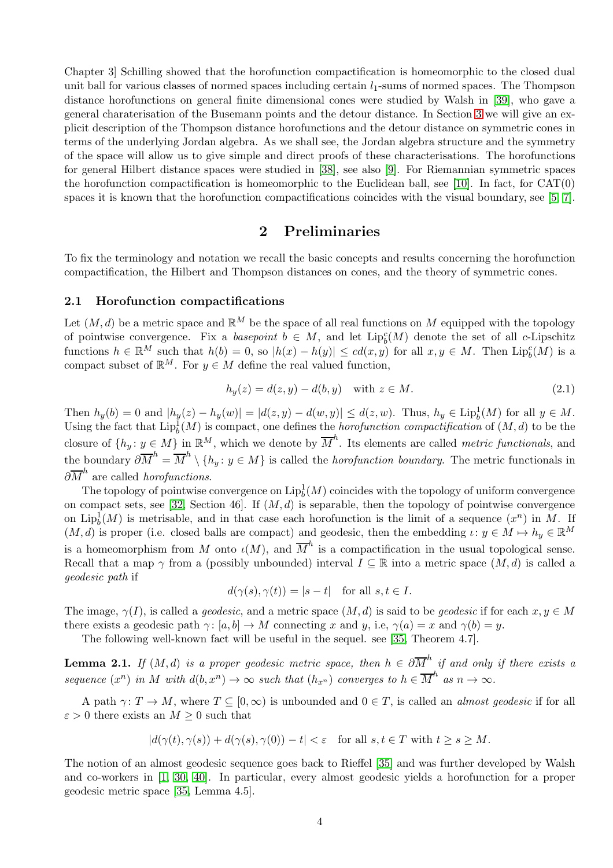Chapter 3] Schilling showed that the horofunction compactification is homeomorphic to the closed dual unit ball for various classes of normed spaces including certain  $l_1$ -sums of normed spaces. The Thompson distance horofunctions on general finite dimensional cones were studied by Walsh in [\[39\]](#page-21-13), who gave a general charaterisation of the Busemann points and the detour distance. In Section [3](#page-6-1) we will give an explicit description of the Thompson distance horofunctions and the detour distance on symmetric cones in terms of the underlying Jordan algebra. As we shall see, the Jordan algebra structure and the symmetry of the space will allow us to give simple and direct proofs of these characterisations. The horofunctions for general Hilbert distance spaces were studied in [\[38\]](#page-21-14), see also [\[9\]](#page-20-11). For Riemannian symmetric spaces the horofunction compactification is homeomorphic to the Euclidean ball, see [\[10\]](#page-20-12). In fact, for  $CAT(0)$ spaces it is known that the horofunction compactifications coincides with the visual boundary, see [\[5,](#page-20-13) [7\]](#page-20-14).

## 2 Preliminaries

To fix the terminology and notation we recall the basic concepts and results concerning the horofunction compactification, the Hilbert and Thompson distances on cones, and the theory of symmetric cones.

#### 2.1 Horofunction compactifications

Let  $(M, d)$  be a metric space and  $\mathbb{R}^M$  be the space of all real functions on M equipped with the topology of pointwise convergence. Fix a basepoint  $b \in M$ , and let  $\text{Lip}_b^c(M)$  denote the set of all c-Lipschitz functions  $h \in \mathbb{R}^M$  such that  $h(b) = 0$ , so  $|h(x) - h(y)| \le cd(x, y)$  for all  $x, y \in M$ . Then  $\text{Lip}_b^c(M)$  is a compact subset of  $\mathbb{R}^M$ . For  $y \in M$  define the real valued function,

$$
h_y(z) = d(z, y) - d(b, y) \quad \text{with } z \in M. \tag{2.1}
$$

Then  $h_y(b) = 0$  and  $|h_y(z) - h_y(w)| = |d(z, y) - d(w, y)| \le d(z, w)$ . Thus,  $h_y \in \text{Lip}_b^1(M)$  for all  $y \in M$ . Using the fact that  $\mathrm{Lip}_b^1(M)$  is compact, one defines the *horofunction compactification* of  $(M, d)$  to be the closure of  $\{h_y: y \in M\}$  in  $\mathbb{R}^M$ , which we denote by  $\overline{M}^h$ . Its elements are called *metric functionals*, and the boundary  $\partial \overline{M}^h = \overline{M}^h \setminus \{h_y : y \in M\}$  is called the *horofunction boundary*. The metric functionals in  $\partial \overline{M}^h$  are called *horofunctions*.

The topology of pointwise convergence on  $\mathrm{Lip}_b^1(M)$  coincides with the topology of uniform convergence on compact sets, see [\[32,](#page-21-15) Section 46]. If  $(M, d)$  is separable, then the topology of pointwise convergence on Lip<sup>1</sup><sub>b</sub> $(M)$  is metrisable, and in that case each horofunction is the limit of a sequence  $(x^n)$  in M. If  $(M, d)$  is proper (i.e. closed balls are compact) and geodesic, then the embedding  $\iota: y \in M \mapsto h_y \in \mathbb{R}^M$ is a homeomorphism from M onto  $\iota(M)$ , and  $\overline{M}^h$  is a compactification in the usual topological sense. Recall that a map  $\gamma$  from a (possibly unbounded) interval  $I \subseteq \mathbb{R}$  into a metric space  $(M, d)$  is called a geodesic path if

$$
d(\gamma(s), \gamma(t)) = |s - t| \quad \text{for all } s, t \in I.
$$

The image,  $\gamma(I)$ , is called a *geodesic*, and a metric space  $(M, d)$  is said to be *geodesic* if for each  $x, y \in M$ there exists a geodesic path  $\gamma: [a, b] \to M$  connecting x and y, i.e,  $\gamma(a) = x$  and  $\gamma(b) = y$ .

The following well-known fact will be useful in the sequel. see [\[35,](#page-21-16) Theorem 4.7].

<span id="page-3-0"></span>**Lemma 2.1.** If  $(M, d)$  is a proper geodesic metric space, then  $h \in \partial \overline{M}^h$  if and only if there exists a sequence  $(x^n)$  in M with  $d(b, x^n) \to \infty$  such that  $(h_{x^n})$  converges to  $h \in \overline{M}^h$  as  $n \to \infty$ .

A path  $\gamma: T \to M$ , where  $T \subseteq [0,\infty)$  is unbounded and  $0 \in T$ , is called an *almost geodesic* if for all  $\varepsilon > 0$  there exists an  $M \geq 0$  such that

$$
|d(\gamma(t), \gamma(s)) + d(\gamma(s), \gamma(0)) - t| < \varepsilon \quad \text{for all } s, t \in T \text{ with } t \ge s \ge M.
$$

The notion of an almost geodesic sequence goes back to Rieffel [\[35\]](#page-21-16) and was further developed by Walsh and co-workers in [\[1,](#page-20-15) [30,](#page-21-17) [40\]](#page-21-11). In particular, every almost geodesic yields a horofunction for a proper geodesic metric space [\[35,](#page-21-16) Lemma 4.5].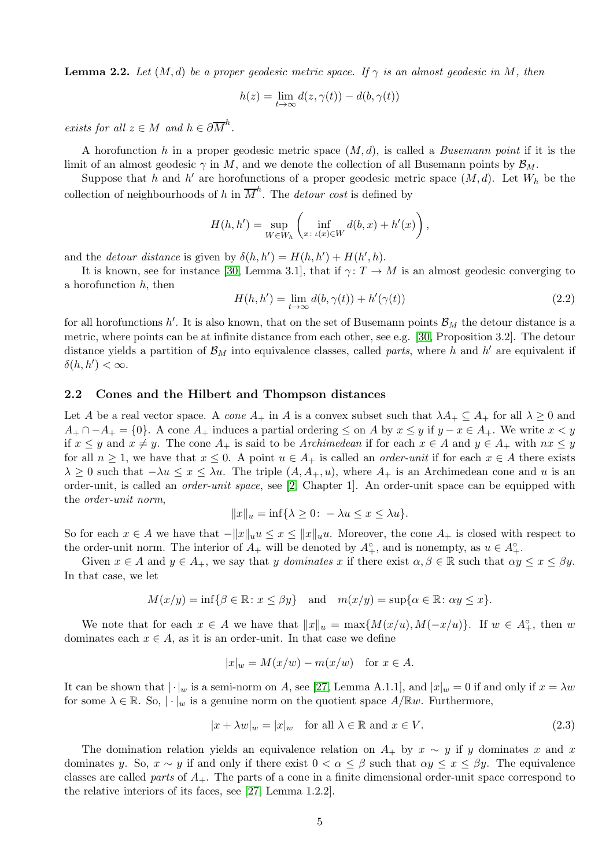**Lemma 2.2.** Let  $(M, d)$  be a proper geodesic metric space. If  $\gamma$  is an almost geodesic in M, then

$$
h(z) = \lim_{t \to \infty} d(z, \gamma(t)) - d(b, \gamma(t))
$$

exists for all  $z \in M$  and  $h \in \partial \overline{M}^h$ .

A horofunction h in a proper geodesic metric space  $(M, d)$ , is called a *Busemann point* if it is the limit of an almost geodesic  $\gamma$  in M, and we denote the collection of all Busemann points by  $\mathcal{B}_M$ .

Suppose that h and h' are horofunctions of a proper geodesic metric space  $(M, d)$ . Let  $W_h$  be the collection of neighbourhoods of h in  $\overline{M}^h$ . The *detour cost* is defined by

$$
H(h, h') = \sup_{W \in W_h} \left( \inf_{x \colon \iota(x) \in W} d(b, x) + h'(x) \right),
$$

and the *detour distance* is given by  $\delta(h, h') = H(h, h') + H(h', h)$ .

It is known, see for instance [\[30,](#page-21-17) Lemma 3.1], that if  $\gamma: T \to M$  is an almost geodesic converging to a horofunction  $h$ , then

<span id="page-4-0"></span>
$$
H(h, h') = \lim_{t \to \infty} d(b, \gamma(t)) + h'(\gamma(t))
$$
\n(2.2)

for all horofunctions  $h'$ . It is also known, that on the set of Busemann points  $\mathcal{B}_M$  the detour distance is a metric, where points can be at infinite distance from each other, see e.g. [\[30,](#page-21-17) Proposition 3.2]. The detour distance yields a partition of  $\mathcal{B}_M$  into equivalence classes, called parts, where h and h' are equivalent if  $\delta(h, h') < \infty$ .

#### 2.2 Cones and the Hilbert and Thompson distances

Let A be a real vector space. A cone  $A_+$  in A is a convex subset such that  $\lambda A_+ \subseteq A_+$  for all  $\lambda \geq 0$  and  $A_+ \cap -A_+ = \{0\}.$  A cone  $A_+$  induces a partial ordering  $\leq$  on A by  $x \leq y$  if  $y-x \in A_+$ . We write  $x < y$ if  $x \leq y$  and  $x \neq y$ . The cone  $A_+$  is said to be Archimedean if for each  $x \in A$  and  $y \in A_+$  with  $nx \leq y$ for all  $n \geq 1$ , we have that  $x \leq 0$ . A point  $u \in A_+$  is called an *order-unit* if for each  $x \in A$  there exists  $\lambda \geq 0$  such that  $-\lambda u \leq x \leq \lambda u$ . The triple  $(A, A_+, u)$ , where  $A_+$  is an Archimedean cone and u is an order-unit, is called an order-unit space, see [\[2,](#page-20-16) Chapter 1]. An order-unit space can be equipped with the order-unit norm,

$$
||x||_u = \inf\{\lambda \ge 0 \colon -\lambda u \le x \le \lambda u\}.
$$

So for each  $x \in A$  we have that  $-\|x\|_{u}u \leq x \leq \|x\|_{u}u$ . Moreover, the cone  $A_{+}$  is closed with respect to the order-unit norm. The interior of  $A_+$  will be denoted by  $A_+^{\circ}$ , and is nonempty, as  $u \in A_+^{\circ}$ .

Given  $x \in A$  and  $y \in A_+$ , we say that y dominates x if there exist  $\alpha, \beta \in \mathbb{R}$  such that  $\alpha y \leq x \leq \beta y$ . In that case, we let

$$
M(x/y) = \inf \{ \beta \in \mathbb{R} \colon x \le \beta y \} \quad \text{and} \quad m(x/y) = \sup \{ \alpha \in \mathbb{R} \colon \alpha y \le x \}.
$$

We note that for each  $x \in A$  we have that  $||x||_u = \max\{M(x/u), M(-x/u)\}\$ . If  $w \in A^{\circ}_+$ , then w dominates each  $x \in A$ , as it is an order-unit. In that case we define

$$
|x|_w = M(x/w) - m(x/w) \text{ for } x \in A.
$$

It can be shown that  $|\cdot|_w$  is a semi-norm on A, see [\[27,](#page-21-18) Lemma A.1.1], and  $|x|_w = 0$  if and only if  $x = \lambda w$ for some  $\lambda \in \mathbb{R}$ . So,  $|\cdot|_w$  is a genuine norm on the quotient space  $A/\mathbb{R}w$ . Furthermore,

<span id="page-4-1"></span>
$$
|x + \lambda w|_w = |x|_w \quad \text{for all } \lambda \in \mathbb{R} \text{ and } x \in V. \tag{2.3}
$$

The domination relation yields an equivalence relation on  $A_+$  by  $x \sim y$  if y dominates x and x dominates y. So,  $x \sim y$  if and only if there exist  $0 < \alpha \leq \beta$  such that  $\alpha y \leq x \leq \beta y$ . The equivalence classes are called parts of  $A_{+}$ . The parts of a cone in a finite dimensional order-unit space correspond to the relative interiors of its faces, see [\[27,](#page-21-18) Lemma 1.2.2].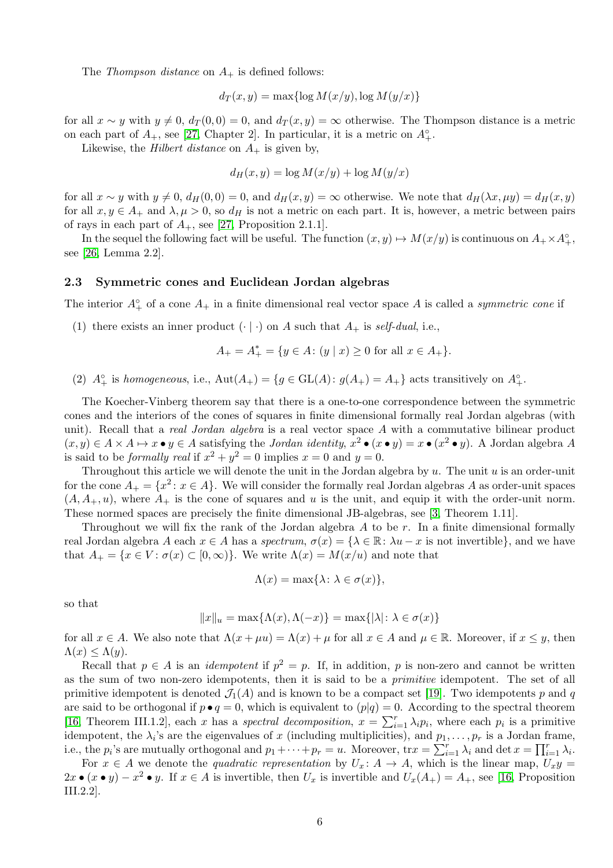The *Thompson distance* on  $A_+$  is defined follows:

$$
d_T(x, y) = \max\{\log M(x/y), \log M(y/x)\}\
$$

for all  $x \sim y$  with  $y \neq 0$ ,  $d_T (0, 0) = 0$ , and  $d_T (x, y) = \infty$  otherwise. The Thompson distance is a metric on each part of  $A_+$ , see [\[27,](#page-21-18) Chapter 2]. In particular, it is a metric on  $A_+^{\circ}$ .

Likewise, the *Hilbert distance* on  $A_+$  is given by,

$$
d_H(x, y) = \log M(x/y) + \log M(y/x)
$$

for all  $x \sim y$  with  $y \neq 0$ ,  $d_H(0, 0) = 0$ , and  $d_H(x, y) = \infty$  otherwise. We note that  $d_H(\lambda x, \mu y) = d_H(x, y)$ for all  $x, y \in A_+$  and  $\lambda, \mu > 0$ , so  $d_H$  is not a metric on each part. It is, however, a metric between pairs of rays in each part of  $A_+$ , see [\[27,](#page-21-18) Proposition 2.1.1].

In the sequel the following fact will be useful. The function  $(x, y) \mapsto M(x/y)$  is continuous on  $A_+ \times A^{\circ}_+$ , see [\[26,](#page-21-19) Lemma 2.2].

#### 2.3 Symmetric cones and Euclidean Jordan algebras

The interior  $A^{\circ}_{+}$  of a cone  $A_{+}$  in a finite dimensional real vector space A is called a *symmetric cone* if

(1) there exists an inner product  $(\cdot | \cdot)$  on A such that  $A_+$  is self-dual, i.e.,

$$
A_{+} = A_{+}^{*} = \{ y \in A \colon (y \mid x) \ge 0 \text{ for all } x \in A_{+} \}.
$$

(2)  $A^{\circ}_{+}$  is homogeneous, i.e.,  $Aut(A_{+}) = \{g \in GL(A) : g(A_{+}) = A_{+}\}\$ acts transitively on  $A^{\circ}_{+}$ .

The Koecher-Vinberg theorem say that there is a one-to-one correspondence between the symmetric cones and the interiors of the cones of squares in finite dimensional formally real Jordan algebras (with unit). Recall that a *real Jordan algebra* is a real vector space A with a commutative bilinear product  $(x, y) \in A \times A \mapsto x \bullet y \in A$  satisfying the *Jordan identity*,  $x^2 \bullet (x \bullet y) = x \bullet (x^2 \bullet y)$ . A Jordan algebra A is said to be *formally real* if  $x^2 + y^2 = 0$  implies  $x = 0$  and  $y = 0$ .

Throughout this article we will denote the unit in the Jordan algebra by  $u$ . The unit  $u$  is an order-unit for the cone  $A_+ = \{x^2 \colon x \in A\}$ . We will consider the formally real Jordan algebras A as order-unit spaces  $(A, A_+, u)$ , where  $A_+$  is the cone of squares and u is the unit, and equip it with the order-unit norm. These normed spaces are precisely the finite dimensional JB-algebras, see [\[3,](#page-20-0) Theorem 1.11].

Throughout we will fix the rank of the Jordan algebra  $A$  to be  $r$ . In a finite dimensional formally real Jordan algebra A each  $x \in A$  has a spectrum,  $\sigma(x) = \{\lambda \in \mathbb{R} : \lambda u - x$  is not invertible}, and we have that  $A_+ = \{x \in V : \sigma(x) \subset [0, \infty)\}\.$  We write  $\Lambda(x) = M(x/u)$  and note that

$$
\Lambda(x) = \max\{\lambda \colon \lambda \in \sigma(x)\},\
$$

so that

$$
||x||_u = \max\{\Lambda(x), \Lambda(-x)\} = \max\{|\lambda| \colon \lambda \in \sigma(x)\}\
$$

for all  $x \in A$ . We also note that  $\Lambda(x + \mu u) = \Lambda(x) + \mu$  for all  $x \in A$  and  $\mu \in \mathbb{R}$ . Moreover, if  $x \leq y$ , then  $\Lambda(x) \leq \Lambda(y)$ .

Recall that  $p \in A$  is an *idempotent* if  $p^2 = p$ . If, in addition, p is non-zero and cannot be written as the sum of two non-zero idempotents, then it is said to be a primitive idempotent. The set of all primitive idempotent is denoted  $\mathcal{J}_1(A)$  and is known to be a compact set [\[19\]](#page-21-20). Two idempotents p and q are said to be orthogonal if  $p \bullet q = 0$ , which is equivalent to  $(p|q) = 0$ . According to the spectral theorem [\[16,](#page-20-2) Theorem III.1.2], each x has a spectral decomposition,  $x = \sum_{i=1}^{r} \lambda_i p_i$ , where each  $p_i$  is a primitive idempotent, the  $\lambda_i$ 's are the eigenvalues of x (including multiplicities), and  $p_1, \ldots, p_r$  is a Jordan frame, i.e., the  $p_i$ 's are mutually orthogonal and  $p_1 + \cdots + p_r = u$ . Moreover,  $\text{tr} x = \sum_{i=1}^r \lambda_i$  and  $\det x = \prod_{i=1}^r \lambda_i$ .

For  $x \in A$  we denote the *quadratic representation* by  $U_x: A \to A$ , which is the linear map,  $U_x y =$  $2x \bullet (x \bullet y) - x^2 \bullet y$ . If  $x \in A$  is invertible, then  $U_x$  is invertible and  $U_x(A_+) = A_+$ , see [\[16,](#page-20-2) Proposition III.2.2].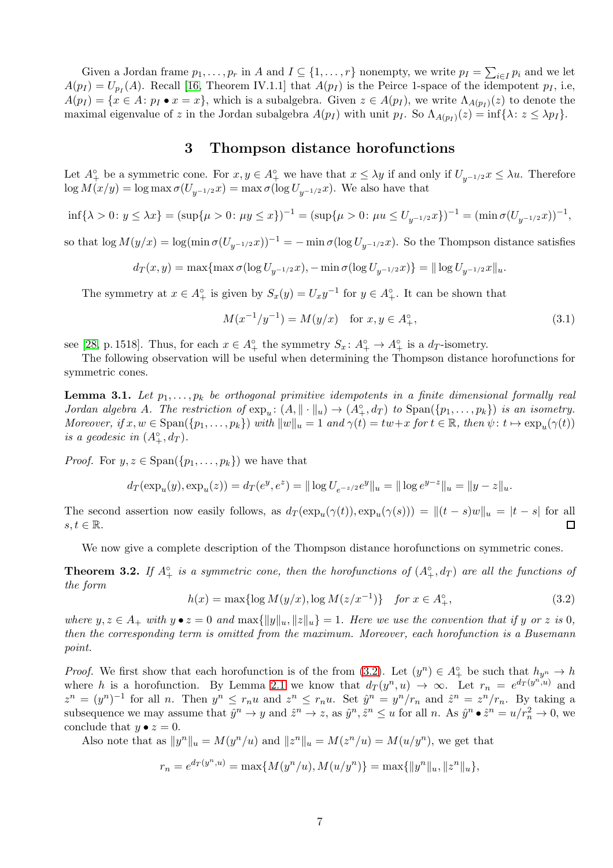Given a Jordan frame  $p_1, \ldots, p_r$  in A and  $I \subseteq \{1, \ldots, r\}$  nonempty, we write  $p_I = \sum_{i \in I} p_i$  and we let  $A(p_I) = U_{p_I}(A)$ . Recall [\[16,](#page-20-2) Theorem IV.1.1] that  $A(p_I)$  is the Peirce 1-space of the idempotent  $p_I$ , i.e,  $A(p_I) = \{x \in A : p_I \bullet x = x\}$ , which is a subalgebra. Given  $z \in A(p_I)$ , we write  $\Lambda_{A(p_I)}(z)$  to denote the maximal eigenvalue of z in the Jordan subalgebra  $A(p_I)$  with unit  $p_I$ . So  $\Lambda_{A(p_I)}(z) = \inf{\lambda : z \le \lambda p_I}$ .

## 3 Thompson distance horofunctions

<span id="page-6-1"></span>Let  $A^{\circ}_{+}$  be a symmetric cone. For  $x, y \in A^{\circ}_{+}$  we have that  $x \leq \lambda y$  if and only if  $U_{y^{-1/2}} x \leq \lambda u$ . Therefore  $\log M(x/y) = \log \max \sigma(U_{y^{-1/2}}x) = \max \sigma(\log U_{y^{-1/2}}x)$ . We also have that

$$
\inf\{\lambda > 0\colon y \le \lambda x\} = (\sup\{\mu > 0\colon \mu y \le x\})^{-1} = (\sup\{\mu > 0\colon \mu u \le U_{y^{-1/2}}x\})^{-1} = (\min \sigma(U_{y^{-1/2}}x))^{-1},
$$

so that  $\log M(y/x) = \log(\min \sigma(U_{y-1/2} x))^{-1} = -\min \sigma(\log U_{y-1/2} x)$ . So the Thompson distance satisfies

$$
d_T(x,y) = \max\{\max \sigma(\log U_{y^{-1/2}}x), -\min \sigma(\log U_{y^{-1/2}}x)\} = \|\log U_{y^{-1/2}}x\|_u.
$$

The symmetry at  $x \in A_+^{\circ}$  is given by  $S_x(y) = U_x y^{-1}$  for  $y \in A_+^{\circ}$ . It can be shown that

<span id="page-6-3"></span>
$$
M(x^{-1}/y^{-1}) = M(y/x) \quad \text{for } x, y \in A_+^{\circ}, \tag{3.1}
$$

see [\[28,](#page-21-2) p. 1518]. Thus, for each  $x \in A_+^{\circ}$  the symmetry  $S_x: A_+^{\circ} \to A_+^{\circ}$  is a  $d_T$ -isometry.

The following observation will be useful when determining the Thompson distance horofunctions for symmetric cones.

<span id="page-6-4"></span>**Lemma 3.1.** Let  $p_1, \ldots, p_k$  be orthogonal primitive idempotents in a finite dimensional formally real Jordan algebra A. The restriction of  $\exp_u: (A, \|\cdot\|_u) \to (A_+^{\circ}, d_T)$  to  $\text{Span}(\{p_1, \ldots, p_k\})$  is an isometry. Moreover, if  $x, w \in \text{Span}(\{p_1, \ldots, p_k\})$  with  $||w||_u = 1$  and  $\gamma(t) = tw + x$  for  $t \in \mathbb{R}$ , then  $\psi: t \mapsto \exp_u(\gamma(t))$ is a geodesic in  $(A_+^{\circ}, d_T)$ .

*Proof.* For  $y, z \in \text{Span}(\{p_1, \ldots, p_k\})$  we have that

$$
d_T(\exp_u(y), \exp_u(z)) = d_T(e^y, e^z) = ||\log U_{e^{-z/2}}e^y||_u = ||\log e^{y-z}||_u = ||y-z||_u.
$$

The second assertion now easily follows, as  $d_T(\exp_u(\gamma(t)), \exp_u(\gamma(s))) = ||(t - s)w||_u = |t - s|$  for all  $s, t \in \mathbb{R}$ .  $\Box$ 

We now give a complete description of the Thompson distance horofunctions on symmetric cones.

<span id="page-6-0"></span>**Theorem 3.2.** If  $A^{\circ}_{+}$  is a symmetric cone, then the horofunctions of  $(A^{\circ}_{+}, d_T)$  are all the functions of the form

<span id="page-6-2"></span>
$$
h(x) = \max\{\log M(y/x), \log M(z/x^{-1})\} \quad \text{for } x \in A_+^{\circ},\tag{3.2}
$$

where  $y, z \in A_+$  with  $y \bullet z = 0$  and  $\max\{\|y\|_u, \|z\|_u\} = 1$ . Here we use the convention that if y or z is 0, then the corresponding term is omitted from the maximum. Moreover, each horofunction is a Busemann point.

*Proof.* We first show that each horofunction is of the from  $(3.2)$ . Let  $(y^n) \in A^{\circ}_+$  be such that  $h_{y^n} \to h$ where h is a horofunction. By Lemma [2.1](#page-3-0) we know that  $d_T(y^n, u) \to \infty$ . Let  $r_n = e^{d_T(y^n, u)}$  and  $z^n = (y^n)^{-1}$  for all n. Then  $y^n \le r_n u$  and  $z^n \le r_n u$ . Set  $\hat{y}^n = y^n/r_n$  and  $\hat{z}^n = z^n/r_n$ . By taking a subsequence we may assume that  $\hat{y}^n \to y$  and  $\hat{z}^n \to z$ , as  $\hat{y}^n, \hat{z}^n \le u$  for all n. As  $\hat{y}^n \bullet \hat{z}^n = u/r_n^2 \to 0$ , we conclude that  $y \bullet z = 0$ .

Also note that as  $||y^n||_u = M(y^n/u)$  and  $||z^n||_u = M(z^n/u) = M(u/y^n)$ , we get that

$$
r_n = e^{d_T(y^n, u)} = \max\{M(y^n/u), M(u/y^n)\} = \max\{\|y^n\|_u, \|z^n\|_u\},\
$$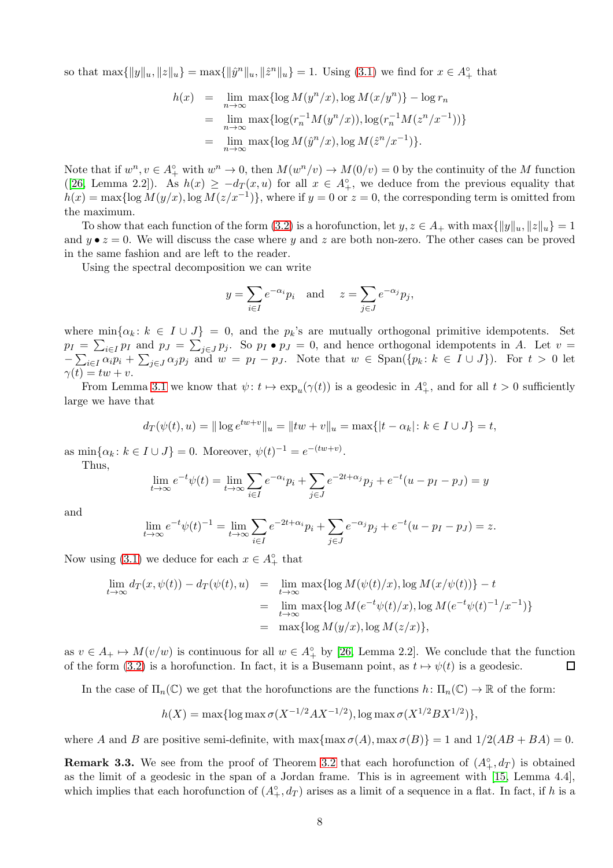so that  $\max\{\|y\|_u, \|z\|_u\} = \max\{\|\hat{y}^n\|_u, \|\hat{z}^n\|_u\} = 1$ . Using [\(3.1\)](#page-6-3) we find for  $x \in A_+^{\circ}$  that

$$
h(x) = \lim_{n \to \infty} \max \{ \log M(y^n/x), \log M(x/y^n) \} - \log r_n
$$
  
= 
$$
\lim_{n \to \infty} \max \{ \log(r_n^{-1} M(y^n/x)), \log(r_n^{-1} M(z^n/x^{-1})) \}
$$
  
= 
$$
\lim_{n \to \infty} \max \{ \log M(\hat{y}^n/x), \log M(\hat{z}^n/x^{-1}) \}.
$$

Note that if  $w^n, v \in A^{\circ}_+$  with  $w^n \to 0$ , then  $M(w^n/v) \to M(0/v) = 0$  by the continuity of the M function ([\[26,](#page-21-19) Lemma 2.2]). As  $h(x) \geq -d_T(x, u)$  for all  $x \in A_+^{\circ}$ , we deduce from the previous equality that  $h(x) = \max\{\log M(y/x), \log M(z/x^{-1})\},\$  where if  $y = 0$  or  $z = 0$ , the corresponding term is omitted from the maximum.

To show that each function of the form [\(3.2\)](#page-6-2) is a horofunction, let  $y, z \in A_+$  with  $\max{\{\|y\|_u, \|z\|_u\}} = 1$ and  $y \bullet z = 0$ . We will discuss the case where y and z are both non-zero. The other cases can be proved in the same fashion and are left to the reader.

Using the spectral decomposition we can write

$$
y = \sum_{i \in I} e^{-\alpha_i} p_i
$$
 and  $z = \sum_{j \in J} e^{-\alpha_j} p_j$ ,

where  $\min{\{\alpha_k : k \in I \cup J\}} = 0$ , and the  $p_k$ 's are mutually orthogonal primitive idempotents. Set  $p_I = \sum_{i \in I} p_I$  and  $p_J = \sum_{j \in J} p_j$ . So  $p_I \bullet p_J = 0$ , and hence orthogonal idempotents in A. Let  $v =$  $-\sum_{i\in I}\alpha_i p_i + \sum_{j\in J}\alpha_j p_j$  and  $w = p_I - p_J$ . Note that  $w \in \text{Span}(\{p_k : k \in I \cup J\})$ . For  $t > 0$  let  $\gamma(t) = tw + v.$ 

From Lemma [3.1](#page-6-4) we know that  $\psi: t \mapsto \exp_u(\gamma(t))$  is a geodesic in  $A^{\circ}_{+}$ , and for all  $t > 0$  sufficiently large we have that

$$
d_T(\psi(t), u) = || \log e^{tw+v} ||_u = ||tw + v||_u = \max\{|t - \alpha_k| : k \in I \cup J\} = t,
$$

as  $\min\{\alpha_k : k \in I \cup J\} = 0$ . Moreover,  $\psi(t)^{-1} = e^{-(tw+v)}$ . Thus,

 $\lim_{t\to\infty}e^{-t}\psi(t)=\lim_{t\to\infty}\sum_{k=1}$ i∈I  $e^{-\alpha_i}p_i+\sum$ j∈J  $e^{-2t+\alpha_j}p_j + e^{-t}(u - p_I - p_J) = y$ 

and

$$
\lim_{t \to \infty} e^{-t} \psi(t)^{-1} = \lim_{t \to \infty} \sum_{i \in I} e^{-2t + \alpha_i} p_i + \sum_{j \in J} e^{-\alpha_j} p_j + e^{-t} (u - p_I - p_J) = z.
$$

Now using [\(3.1\)](#page-6-3) we deduce for each  $x \in A_+^{\circ}$  that

$$
\lim_{t \to \infty} d_T(x, \psi(t)) - d_T(\psi(t), u) = \lim_{t \to \infty} \max \{ \log M(\psi(t)/x), \log M(x/\psi(t)) \} - t
$$
\n
$$
= \lim_{t \to \infty} \max \{ \log M(e^{-t}\psi(t)/x), \log M(e^{-t}\psi(t)^{-1}/x^{-1}) \}
$$
\n
$$
= \max \{ \log M(y/x), \log M(z/x) \},
$$

as  $v \in A_+ \mapsto M(v/w)$  is continuous for all  $w \in A_+^{\circ}$  by [\[26,](#page-21-19) Lemma 2.2]. We conclude that the function of the form [\(3.2\)](#page-6-2) is a horofunction. In fact, it is a Busemann point, as  $t \mapsto \psi(t)$  is a geodesic.  $\Box$ 

In the case of  $\Pi_n(\mathbb{C})$  we get that the horofunctions are the functions  $h: \Pi_n(\mathbb{C}) \to \mathbb{R}$  of the form:

$$
h(X) = \max\{\log \max \sigma(X^{-1/2}AX^{-1/2}), \log \max \sigma(X^{1/2}BX^{1/2})\},\
$$

where A and B are positive semi-definite, with  $\max{\max \sigma(A), \max \sigma(B)} = 1$  and  $1/2(AB + BA) = 0$ .

**Remark 3.3.** We see from the proof of Theorem [3.2](#page-6-0) that each horofunction of  $(A^{\circ}_{+}, d_T)$  is obtained as the limit of a geodesic in the span of a Jordan frame. This is in agreement with [\[15,](#page-20-3) Lemma 4.4], which implies that each horofunction of  $(A_+^{\circ}, d_T)$  arises as a limit of a sequence in a flat. In fact, if h is a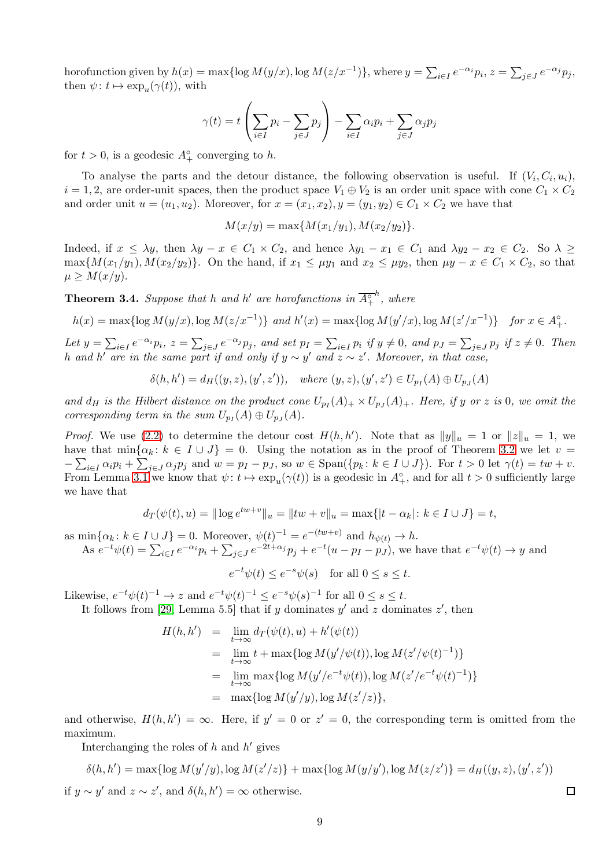horofunction given by  $h(x) = \max\{\log M(y/x), \log M(z/x^{-1})\}$ , where  $y = \sum_{i \in I} e^{-\alpha_i} p_i$ ,  $z = \sum_{j \in J} e^{-\alpha_j} p_j$ , then  $\psi: t \mapsto \exp_u(\gamma(t))$ , with

$$
\gamma(t) = t \left( \sum_{i \in I} p_i - \sum_{j \in J} p_j \right) - \sum_{i \in I} \alpha_i p_i + \sum_{j \in J} \alpha_j p_j
$$

for  $t > 0$ , is a geodesic  $A^{\circ}_{+}$  converging to h.

To analyse the parts and the detour distance, the following observation is useful. If  $(V_i, C_i, u_i)$ ,  $i = 1, 2$ , are order-unit spaces, then the product space  $V_1 \oplus V_2$  is an order unit space with cone  $C_1 \times C_2$ and order unit  $u = (u_1, u_2)$ . Moreover, for  $x = (x_1, x_2), y = (y_1, y_2) \in C_1 \times C_2$  we have that

 $M(x/y) = \max\{M(x_1/y_1), M(x_2/y_2)\}.$ 

Indeed, if  $x \le \lambda y$ , then  $\lambda y - x \in C_1 \times C_2$ , and hence  $\lambda y_1 - x_1 \in C_1$  and  $\lambda y_2 - x_2 \in C_2$ . So  $\lambda \ge$ max $\{M(x_1/y_1), M(x_2/y_2)\}\$ . On the hand, if  $x_1 \le \mu y_1$  and  $x_2 \le \mu y_2$ , then  $\mu y - x \in C_1 \times C_2$ , so that  $\mu \geq M(x/y)$ .

<span id="page-8-0"></span>**Theorem 3.4.** Suppose that h and h' are horofunctions in  $\overline{A_+^{\circ}}$  $\stackrel{h}{\cdot}$ , where

$$
h(x) = \max\{\log M(y/x), \log M(z/x^{-1})\} \text{ and } h'(x) = \max\{\log M(y'/x), \log M(z'/x^{-1})\} \text{ for } x \in A_+^{\circ}.
$$

Let  $y = \sum_{i \in I} e^{-\alpha_i} p_i$ ,  $z = \sum_{j \in J} e^{-\alpha_j} p_j$ , and set  $p_I = \sum_{i \in I} p_i$  if  $y \neq 0$ , and  $p_J = \sum_{j \in J} p_j$  if  $z \neq 0$ . Then h and h' are in the same part if and only if  $y \sim y'$  and  $z \sim z'$ . Moreover, in that case,

 $\delta(h, h') = d_H((y, z), (y', z')), \text{ where } (y, z), (y', z') \in U_{p_I}(A) \oplus U_{p_J}(A)$ 

and  $d_H$  is the Hilbert distance on the product cone  $U_{p_I}(A)_+ \times U_{p_J}(A)_+$ . Here, if y or z is 0, we omit the corresponding term in the sum  $U_{p_I}(A) \oplus U_{p_J}(A)$ .

*Proof.* We use [\(2.2\)](#page-4-0) to determine the detour cost  $H(h, h')$ . Note that as  $||y||_u = 1$  or  $||z||_u = 1$ , we have that  $\min\{\alpha_k : k \in I \cup J\} = 0$ . Using the notation as in the proof of Theorem [3.2](#page-6-0) we let  $v =$  $-\sum_{i\in I}\alpha_i p_i + \sum_{j\in J}\alpha_j p_j$  and  $w = p_I - p_J$ , so  $w \in \text{Span}(\{p_k : k \in I \cup J\})$ . For  $t > 0$  let  $\gamma(t) = tw + v$ . From Lemma [3.1](#page-6-4) we know that  $\psi: t \mapsto \exp_u(\gamma(t))$  is a geodesic in  $A^{\circ}_{+}$ , and for all  $t > 0$  sufficiently large we have that

$$
d_T(\psi(t), u) = || \log e^{tw+v} ||_u = ||tw + v||_u = \max\{|t - \alpha_k| : k \in I \cup J\} = t,
$$

as  $\min\{\alpha_k : k \in I \cup J\} = 0$ . Moreover,  $\psi(t)^{-1} = e^{-(tw+v)}$  and  $h_{\psi(t)} \to h$ . As  $e^{-t}\psi(t) = \sum_{i\in I} e^{-\alpha_i}p_i + \sum_{j\in J} e^{-2t+\alpha_j}p_j + e^{-t}(u-p_I-p_J)$ , we have that  $e^{-t}\psi(t) \to y$  and

 $e^{-t}\psi(t) \leq e^{-s}\psi(s)$  for all  $0 \leq s \leq t$ .

Likewise,  $e^{-t}\psi(t)^{-1} \to z$  and  $e^{-t}\psi(t)^{-1} \leq e^{-s}\psi(s)^{-1}$  for all  $0 \leq s \leq t$ .

It follows from [\[29,](#page-21-3) Lemma 5.5] that if y dominates  $y'$  and z dominates  $z'$ , then

$$
H(h, h') = \lim_{t \to \infty} d_T(\psi(t), u) + h'(\psi(t))
$$
  
=  $\lim_{t \to \infty} t + \max{\log M(y'/\psi(t)), \log M(z'/\psi(t)^{-1})}$   
=  $\lim_{t \to \infty} \max{\log M(y'/e^{-t}\psi(t)), \log M(z'/e^{-t}\psi(t)^{-1})}$   
=  $\max{\log M(y'/y), \log M(z'/z)},$ 

and otherwise,  $H(h, h') = \infty$ . Here, if  $y' = 0$  or  $z' = 0$ , the corresponding term is omitted from the maximum.

Interchanging the roles of  $h$  and  $h'$  gives

$$
\delta(h, h') = \max\{\log M(y'/y), \log M(z'/z)\} + \max\{\log M(y/y'), \log M(z/z')\} = d_H((y, z), (y', z'))
$$
  
if  $y \sim y'$  and  $z \sim z'$ , and  $\delta(h, h') = \infty$  otherwise.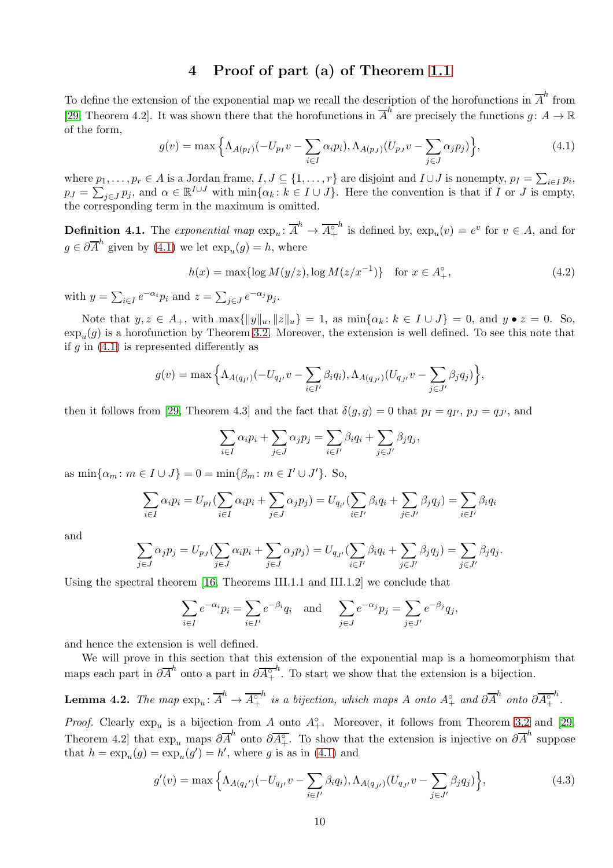# 4 Proof of part (a) of Theorem [1.1](#page-1-0)

To define the extension of the exponential map we recall the description of the horofunctions in  $\overline{A}^h$  from [\[29,](#page-21-3) Theorem 4.2]. It was shown there that the horofunctions in  $\overline{A}^h$  are precisely the functions  $g: A \to \mathbb{R}$ of the form,

<span id="page-9-0"></span>
$$
g(v) = \max\left\{\Lambda_{A(p_I)}(-U_{p_I}v - \sum_{i \in I} \alpha_i p_i), \Lambda_{A(p_J)}(U_{p_J}v - \sum_{j \in J} \alpha_j p_j)\right\},\tag{4.1}
$$

where  $p_1, \ldots, p_r \in A$  is a Jordan frame,  $I, J \subseteq \{1, \ldots, r\}$  are disjoint and  $I \cup J$  is nonempty,  $p_I = \sum_{i \in I} p_i$ ,  $p_J = \sum_{j \in J} p_j$ , and  $\alpha \in \mathbb{R}^{I \cup J}$  with  $\min\{\alpha_k : k \in I \cup J\}$ . Here the convention is that if I or J is empty, the corresponding term in the maximum is omitted.

**Definition 4.1.** The exponential map  $\exp_u: \overline{A}^h \to \overline{A^{\circ}_+}$ <sup>h</sup> is defined by,  $\exp_u(v) = e^v$  for  $v \in A$ , and for  $g \in \partial \overline{A}^h$  given by [\(4.1\)](#page-9-0) we let  $\exp_u(g) = h$ , where

<span id="page-9-1"></span>
$$
h(x) = \max\{\log M(y/z), \log M(z/x^{-1})\} \quad \text{for } x \in A_+^{\circ},\tag{4.2}
$$

with  $y = \sum_{i \in I} e^{-\alpha_i} p_i$  and  $z = \sum_{j \in J} e^{-\alpha_j} p_j$ .

Note that  $y, z \in A_+$ , with  $\max\{\|y\|_u, \|z\|_u\} = 1$ , as  $\min\{\alpha_k : k \in I \cup J\} = 0$ , and  $y \bullet z = 0$ . So,  $\exp_u(g)$  is a horofunction by Theorem [3.2.](#page-6-0) Moreover, the extension is well defined. To see this note that if  $g$  in [\(4.1\)](#page-9-0) is represented differently as

$$
g(v) = \max \Big\{ \Lambda_{A(q_{I'})}(-U_{q_{I'}}v - \sum_{i \in I'} \beta_i q_i), \Lambda_{A(q_{J'})}(U_{q_{J'}}v - \sum_{j \in J'} \beta_j q_j) \Big\},\,
$$

then it follows from [\[29,](#page-21-3) Theorem 4.3] and the fact that  $\delta(g, g) = 0$  that  $p_I = q_{I'}, p_J = q_{J'}$ , and

$$
\sum_{i \in I} \alpha_i p_i + \sum_{j \in J} \alpha_j p_j = \sum_{i \in I'} \beta_i q_i + \sum_{j \in J'} \beta_j q_j,
$$

as  $\min\{\alpha_m : m \in I \cup J\} = 0 = \min\{\beta_m : m \in I' \cup J'\}.$  So,

$$
\sum_{i \in I} \alpha_i p_i = U_{p_I} \left( \sum_{i \in I} \alpha_i p_i + \sum_{j \in J} \alpha_j p_j \right) = U_{q_{i'}} \left( \sum_{i \in I'} \beta_i q_i + \sum_{j \in J'} \beta_j q_j \right) = \sum_{i \in I'} \beta_i q_i
$$

and

$$
\sum_{j\in J}\alpha_jp_j=U_{pJ}(\sum_{j\in J}\alpha_ip_i+\sum_{j\in J}\alpha_jp_j)=U_{q_{J'}}(\sum_{i\in I'}\beta_iq_i+\sum_{j\in J'}\beta_jq_j)=\sum_{j\in J'}\beta_jq_j.
$$

Using the spectral theorem [\[16,](#page-20-2) Theorems III.1.1 and III.1.2] we conclude that

$$
\sum_{i \in I} e^{-\alpha_i} p_i = \sum_{i \in I'} e^{-\beta_i} q_i \text{ and } \sum_{j \in J} e^{-\alpha_j} p_j = \sum_{j \in J'} e^{-\beta_j} q_j,
$$

and hence the extension is well defined.

We will prove in this section that this extension of the exponential map is a homeomorphism that maps each part in  $\partial \overline{A}^h$  onto a part in  $\partial \overline{A_+^{\circ}}$  $h$ . To start we show that the extension is a bijection.

<span id="page-9-2"></span>**Lemma 4.2.** The map 
$$
\exp_u \colon \overline{A}^h \to \overline{A_+^{\circ}}^h
$$
 is a bijection, which maps A onto  $A_+^{\circ}$  and  $\partial \overline{A}^h$  onto  $\partial \overline{A_+^{\circ}}^h$ .

*Proof.* Clearly  $\exp_u$  is a bijection from A onto  $A^{\circ}_{+}$ . Moreover, it follows from Theorem [3.2](#page-6-0) and [\[29,](#page-21-3) Theorem 4.2] that  $\exp_u$  maps  $\partial \overline{A}^h$  onto  $\partial \overline{A}^{\circ}_{+}$ . To show that the extension is injective on  $\partial \overline{A}^h$  suppose that  $h = \exp_u(g) = \exp_u(g') = h'$ , where g is as in [\(4.1\)](#page-9-0) and

$$
g'(v) = \max \left\{ \Lambda_{A(q_{I'})}(-U_{q_{I'}}v - \sum_{i \in I'} \beta_i q_i), \Lambda_{A(q_{J'})}(U_{q_{J'}}v - \sum_{j \in J'} \beta_j q_j) \right\},\tag{4.3}
$$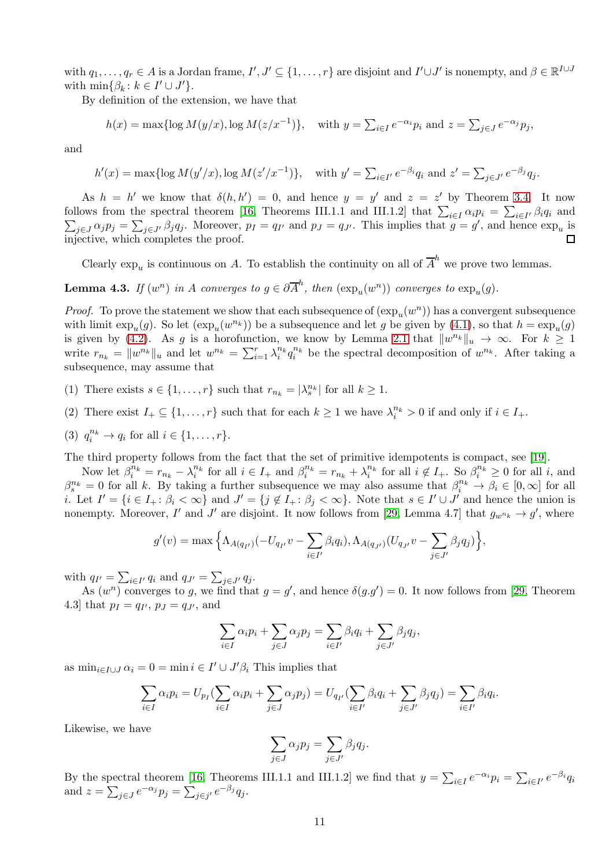with  $q_1,\ldots,q_r\in A$  is a Jordan frame,  $I',J'\subseteq\{1,\ldots,r\}$  are disjoint and  $I'\cup J'$  is nonempty, and  $\beta\in\mathbb{R}^{I\cup J}$ with  $\min\{\beta_k : k \in I' \cup J'\}.$ 

By definition of the extension, we have that

$$
h(x) = \max\{\log M(y/x), \log M(z/x^{-1})\}, \quad \text{with } y = \sum_{i \in I} e^{-\alpha_i} p_i \text{ and } z = \sum_{j \in J} e^{-\alpha_j} p_j,
$$

and

$$
h'(x) = \max\{\log M(y'/x), \log M(z'/x^{-1})\},\
$$
 with  $y' = \sum_{i \in I'} e^{-\beta_i} q_i$  and  $z' = \sum_{j \in J'} e^{-\beta_j} q_j$ .

As  $h = h'$  we know that  $\delta(h, h') = 0$ , and hence  $y = y'$  and  $z = z'$  by Theorem [3.4.](#page-8-0) It now follows from the spectral theorem [16, Theorems III.1.1 and III.1.2] that  $\sum_{i \in I} \alpha_i p_i = \sum_{i \in I'} \beta_i q_i$  and  $\sum_{j \in J} \alpha_j p_j = \sum_{j \in J'} \beta_j q_j$ . Moreover,  $p_I = q_{I'}$  and  $p_J = q_{J'}$ . This implies that  $g = g'$ , and hence  $\exp_u$  is follows from the spectral theorem [\[16,](#page-20-2) Theorems III.1.1 and III.1.2] that  $\sum_{i\in I}\alpha_i p_i = \sum_{i\in I}$ injective, which completes the proof. П

Clearly  $\exp_u$  is continuous on A. To establish the continuity on all of  $\overline{A}^h$  we prove two lemmas.

<span id="page-10-0"></span>**Lemma 4.3.** If  $(w^n)$  in A converges to  $g \in \partial \overline{A}^h$ , then  $(\exp_u(w^n))$  converges to  $\exp_u(g)$ .

*Proof.* To prove the statement we show that each subsequence of  $(\exp_u(w^n))$  has a convergent subsequence with limit  $\exp_u(g)$ . So let  $(\exp_u(w^{n_k}))$  be a subsequence and let g be given by [\(4.1\)](#page-9-0), so that  $h = \exp_u(g)$ is given by [\(4.2\)](#page-9-1). As g is a horofunction, we know by Lemma [2.1](#page-3-0) that  $||w^{n_k}||_u \to \infty$ . For  $k \ge 1$ write  $r_{n_k} = ||w^{n_k}||_u$  and let  $w^{n_k} = \sum_{i=1}^r \lambda_i^{n_k} q_i^{n_k}$  be the spectral decomposition of  $w^{n_k}$ . After taking a subsequence, may assume that

(1) There exists  $s \in \{1, ..., r\}$  such that  $r_{n_k} = |\lambda_s^{n_k}|$  for all  $k \geq 1$ .

- (2) There exist  $I_+ \subseteq \{1, \ldots, r\}$  such that for each  $k \geq 1$  we have  $\lambda_i^{n_k} > 0$  if and only if  $i \in I_+$ .
- (3)  $q_i^{n_k} \to q_i$  for all  $i \in \{1, ..., r\}$ .

The third property follows from the fact that the set of primitive idempotents is compact, see [\[19\]](#page-21-20).

Now let  $\beta_i^{n_k} = r_{n_k} - \lambda_i^{n_k}$  for all  $i \in I_+$  and  $\beta_i^{n_k} = r_{n_k} + \lambda_i^{n_k}$  for all  $i \notin I_+$ . So  $\beta_i^{n_k} \ge 0$  for all i, and  $\beta_s^{n_k} = 0$  for all k. By taking a further subsequence we may also assume that  $\beta_i^{n_k} \to \beta_i \in [0, \infty]$  for all *i*. Let  $I' = \{i \in I_+ : \beta_i < \infty\}$  and  $J' = \{j \notin I_+ : \beta_j < \infty\}$ . Note that  $s \in I' \cup J'$  and hence the union is nonempty. Moreover, I' and J' are disjoint. It now follows from [\[29,](#page-21-3) Lemma 4.7] that  $g_{w^{n_k}} \to g'$ , where

$$
g'(v) = \max \Big\{ \Lambda_{A(q_{I'})}(-U_{q_{I'}}v - \sum_{i \in I'} \beta_i q_i), \Lambda_{A(q_{J'})}(U_{q_{J'}}v - \sum_{j \in J'} \beta_j q_j) \Big\},\,
$$

with  $q_{I'} = \sum_{i \in I'} q_i$  and  $q_{J'} = \sum_{j \in J'} q_j$ .

As  $(w^n)$  converges to g, we find that  $g = g'$ , and hence  $\delta(g.g') = 0$ . It now follows from [\[29,](#page-21-3) Theorem 4.3] that  $p_I = q_{I'}, p_J = q_{J'},$  and

$$
\sum_{i \in I} \alpha_i p_i + \sum_{j \in J} \alpha_j p_j = \sum_{i \in I'} \beta_i q_i + \sum_{j \in J'} \beta_j q_j,
$$

as  $\min_{i \in I \cup J} \alpha_i = 0 = \min_i i \in I' \cup J'\beta_i$  This implies that

$$
\sum_{i\in I}\alpha_i p_i = U_{p_I}(\sum_{i\in I}\alpha_i p_i + \sum_{j\in J}\alpha_j p_j) = U_{q_{I'}}(\sum_{i\in I'}\beta_i q_i + \sum_{j\in J'}\beta_j q_j) = \sum_{i\in I'}\beta_i q_i.
$$

Likewise, we have

$$
\sum_{j \in J} \alpha_j p_j = \sum_{j \in J'} \beta_j q_j.
$$

By the spectral theorem [\[16,](#page-20-2) Theorems III.1.1 and III.1.2] we find that  $y = \sum_{i \in I} e^{-\alpha_i} p_i = \sum_{i \in I'} e^{-\beta_i} q_i$ and  $z = \sum_{j \in J} e^{-\alpha_j} p_j = \sum_{j \in j'} e^{-\beta_j} q_j$ .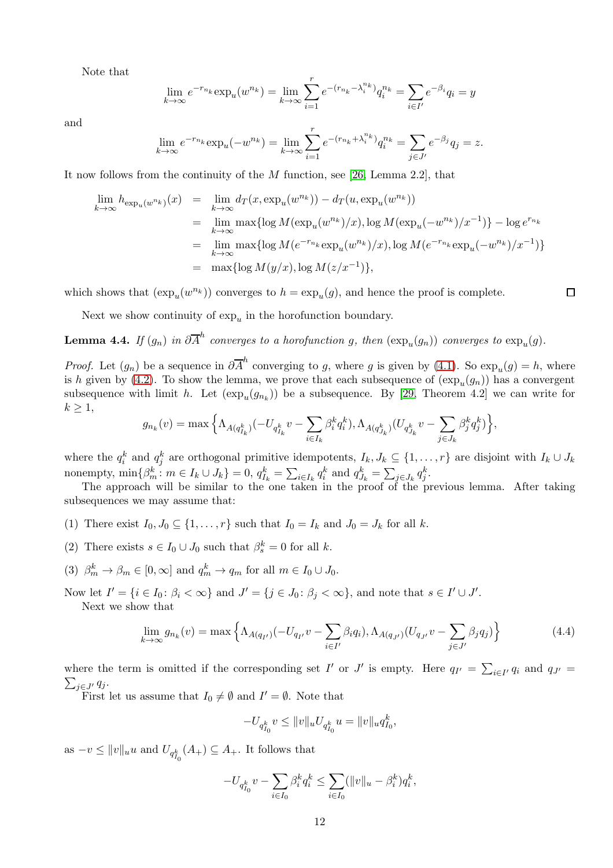Note that

$$
\lim_{k \to \infty} e^{-r_{n_k}} \exp_u(w^{n_k}) = \lim_{k \to \infty} \sum_{i=1}^r e^{-(r_{n_k} - \lambda_i^{n_k})} q_i^{n_k} = \sum_{i \in I'} e^{-\beta_i} q_i = y
$$

and

$$
\lim_{k \to \infty} e^{-r_{n_k}} \exp_u(-w^{n_k}) = \lim_{k \to \infty} \sum_{i=1}^r e^{-(r_{n_k} + \lambda_i^{n_k})} q_i^{n_k} = \sum_{j \in J'} e^{-\beta_j} q_j = z.
$$

It now follows from the continuity of the M function, see [\[26,](#page-21-19) Lemma 2.2], that

$$
\lim_{k \to \infty} h_{\exp_u(w^{n_k})}(x) = \lim_{k \to \infty} d_T(x, \exp_u(w^{n_k})) - d_T(u, \exp_u(w^{n_k}))
$$
\n
$$
= \lim_{k \to \infty} \max \{ \log M(\exp_u(w^{n_k})/x), \log M(\exp_u(-w^{n_k})/x^{-1}) \} - \log e^{r_{n_k}}
$$
\n
$$
= \lim_{k \to \infty} \max \{ \log M(e^{-r_{n_k}} \exp_u(w^{n_k})/x), \log M(e^{-r_{n_k}} \exp_u(-w^{n_k})/x^{-1}) \}
$$
\n
$$
= \max \{ \log M(y/x), \log M(z/x^{-1}) \},
$$

which shows that  $(\exp_u(w^{n_k}))$  converges to  $h = \exp_u(g)$ , and hence the proof is complete.

Next we show continuity of  $\exp_u$  in the horofunction boundary.

<span id="page-11-1"></span>**Lemma 4.4.** If  $(g_n)$  in  $\partial \overline{A}^h$  converges to a horofunction g, then  $(\exp_u(g_n))$  converges to  $\exp_u(g)$ .

*Proof.* Let  $(g_n)$  be a sequence in  $\partial \overline{A}^h$  converging to g, where g is given by [\(4.1\)](#page-9-0). So  $\exp_u(g) = h$ , where is h given by [\(4.2\)](#page-9-1). To show the lemma, we prove that each subsequence of  $(\exp_u(g_n))$  has a convergent subsequence with limit h. Let  $(\exp_u(g_{n_k}))$  be a subsequence. By [\[29,](#page-21-3) Theorem 4.2] we can write for  $k \geq 1$ ,

$$
g_{n_k}(v) = \max\Big\{\Lambda_{A(q_{I_k}^k)}(-U_{q_{I_k}^k}v-\sum_{i\in I_k}\beta_i^kq_i^k), \Lambda_{A(q_{J_k}^k)}(U_{q_{J_k}^k}v-\sum_{j\in J_k}\beta_j^kq_j^k)\Big\},
$$

where the  $q_i^k$  and  $q_j^k$  are orthogonal primitive idempotents,  $I_k, J_k \subseteq \{1, \ldots, r\}$  are disjoint with  $I_k \cup J_k$ nonempty,  $\min\{\beta_m^k : m \in I_k \cup J_k\} = 0, q_{I_k}^k = \sum_{i \in I_k} q_i^k$  and  $q_{J_k}^k = \sum_{j \in J_k} q_j^k$ .

The approach will be similar to the one taken in the proof of the previous lemma. After taking subsequences we may assume that:

- (1) There exist  $I_0, J_0 \subseteq \{1, \ldots, r\}$  such that  $I_0 = I_k$  and  $J_0 = J_k$  for all k.
- (2) There exists  $s \in I_0 \cup J_0$  such that  $\beta_s^k = 0$  for all k.
- (3)  $\beta_m^k \to \beta_m \in [0, \infty]$  and  $q_m^k \to q_m$  for all  $m \in I_0 \cup J_0$ .

Now let  $I' = \{i \in I_0 : \beta_i < \infty\}$  and  $J' = \{j \in J_0 : \beta_j < \infty\}$ , and note that  $s \in I' \cup J'$ . Next we show that

<span id="page-11-0"></span>
$$
\lim_{k \to \infty} g_{n_k}(v) = \max \left\{ \Lambda_{A(q_{I'})}(-U_{q_{I'}}v - \sum_{i \in I'} \beta_i q_i), \Lambda_{A(q_{J'})}(U_{q_{J'}}v - \sum_{j \in J'} \beta_j q_j) \right\}
$$
(4.4)

,

 $\Box$ 

where the term is omitted if the corresponding set  $I'$  or  $J'$  is empty. Here  $q_{I'} = \sum_{i \in I'} q_i$  and  $q_{J'} = \sum_{i \in I'} q_i$ .  $\sum_{j\in J'} q_j$ .

First let us assume that  $I_0 \neq \emptyset$  and  $I' = \emptyset$ . Note that

$$
-U_{q_{I_0}^k}v\leq \|v\|_uU_{q_{I_0}^k}u=\|v\|_u q_{I_0}^k
$$

as  $-v \le ||v||_u u$  and  $U_{q_{I_0}^k}(A_+) \subseteq A_+$ . It follows that

$$
-U_{q_{I_0}^k}v - \sum_{i \in I_0} \beta_i^k q_i^k \le \sum_{i \in I_0} (||v||_u - \beta_i^k) q_i^k,
$$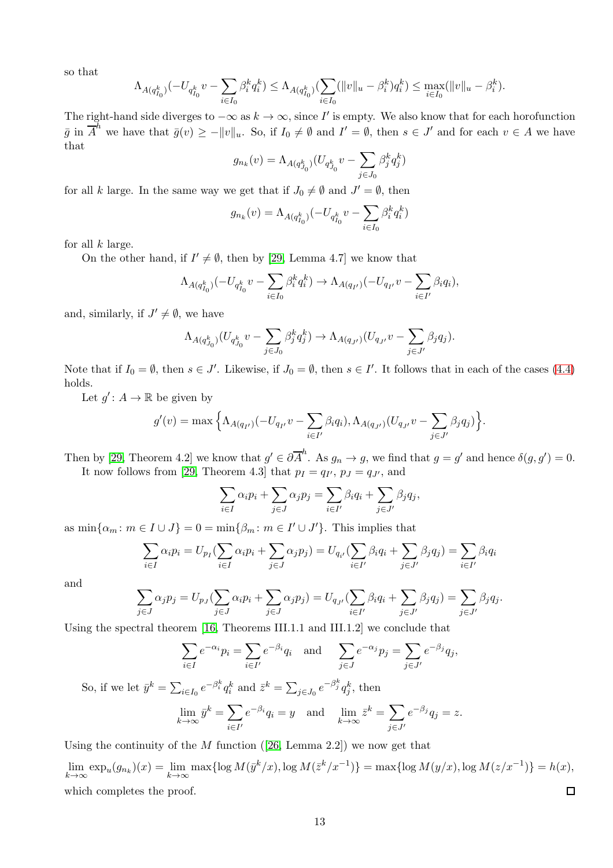so that

$$
\Lambda_{A(q_{I_0}^k)}(-U_{q_{I_0}^k}v - \sum_{i \in I_0} \beta_i^k q_i^k) \leq \Lambda_{A(q_{I_0}^k)}(\sum_{i \in I_0} (||v||_u - \beta_i^k)q_i^k) \leq \max_{i \in I_0} (||v||_u - \beta_i^k).
$$

The right-hand side diverges to  $-\infty$  as  $k \to \infty$ , since I' is empty. We also know that for each horofunction  $\bar{g}$  in  $\overline{A}^h$  we have that  $\bar{g}(v) \geq -||v||_u$ . So, if  $I_0 \neq \emptyset$  and  $I' = \emptyset$ , then  $s \in J'$  and for each  $v \in A$  we have that

$$
g_{n_k}(v) = \Lambda_{A(q_{J_0}^k)}(U_{q_{J_0}^k}v - \sum_{j \in J_0} \beta_j^k q_j^k)
$$

for all k large. In the same way we get that if  $J_0 \neq \emptyset$  and  $J' = \emptyset$ , then

$$
g_{n_k}(v) = \Lambda_{A(q_{I_0}^k)}(-U_{q_{I_0}^k}v - \sum_{i \in I_0} \beta_i^k q_i^k)
$$

for all  $k$  large.

On the other hand, if  $I' \neq \emptyset$ , then by [\[29,](#page-21-3) Lemma 4.7] we know that

$$
\Lambda_{A(q_{I_0}^k)}(-U_{q_{I_0}^k}v-\sum_{i\in I_0}\beta_i^kq_i^k)\to \Lambda_{A(q_{I'})}(-U_{q_{I'}}v-\sum_{i\in I'}\beta_iq_i),
$$

and, similarly, if  $J' \neq \emptyset$ , we have

$$
\Lambda_{A(q_{J_0}^k)} (U_{q_{J_0}^k} v - \sum_{j \in J_0} \beta_j^k q_j^k) \to \Lambda_{A(q_{J'})} (U_{q_{J'}} v - \sum_{j \in J'} \beta_j q_j).
$$

Note that if  $I_0 = \emptyset$ , then  $s \in J'$ . Likewise, if  $J_0 = \emptyset$ , then  $s \in I'$ . It follows that in each of the cases [\(4.4\)](#page-11-0) holds.

Let  $g' : A \to \mathbb{R}$  be given by

$$
g'(v) = \max \Big\{ \Lambda_{A(q_{I'})}(-U_{q_{I'}}v - \sum_{i \in I'} \beta_i q_i), \Lambda_{A(q_{J'})}(U_{q_{J'}}v - \sum_{j \in J'} \beta_j q_j) \Big\}.
$$

Then by [\[29,](#page-21-3) Theorem 4.2] we know that  $g' \in \partial \overline{A}^h$ . As  $g_n \to g$ , we find that  $g = g'$  and hence  $\delta(g, g') = 0$ . It now follows from [\[29,](#page-21-3) Theorem 4.3] that  $p_I = q_{I'}$ ,  $p_J = q_{J'}$ , and

$$
\sum_{i \in I} \alpha_i p_i + \sum_{j \in J} \alpha_j p_j = \sum_{i \in I'} \beta_i q_i + \sum_{j \in J'} \beta_j q_j,
$$

as  $\min\{\alpha_m : m \in I \cup J\} = 0 = \min\{\beta_m : m \in I' \cup J'\}.$  This implies that

$$
\sum_{i \in I} \alpha_i p_i = U_{p_I} \left( \sum_{i \in I} \alpha_i p_i + \sum_{j \in J} \alpha_j p_j \right) = U_{q_{i'}} \left( \sum_{i \in I'} \beta_i q_i + \sum_{j \in J'} \beta_j q_j \right) = \sum_{i \in I'} \beta_i q_i
$$

and

$$
\sum_{j\in J}\alpha_jp_j=U_{p_J}(\sum_{j\in J}\alpha_ip_i+\sum_{j\in J}\alpha_jp_j)=U_{q_{J'}}(\sum_{i\in I'}\beta_iq_i+\sum_{j\in J'}\beta_jq_j)=\sum_{j\in J'}\beta_jq_j.
$$

Using the spectral theorem [\[16,](#page-20-2) Theorems III.1.1 and III.1.2] we conclude that

$$
\sum_{i \in I} e^{-\alpha_i} p_i = \sum_{i \in I'} e^{-\beta_i} q_i \quad \text{and} \quad \sum_{j \in J} e^{-\alpha_j} p_j = \sum_{j \in J'} e^{-\beta_j} q_j,
$$
  
So, if we let  $\bar{y}^k = \sum_{i \in I_0} e^{-\beta_i^k} q_i^k$  and  $\bar{z}^k = \sum_{j \in J_0} e^{-\beta_j^k} q_j^k$ , then  

$$
\lim_{k \to \infty} \bar{y}^k = \sum_{i \in I'} e^{-\beta_i} q_i = y \quad \text{and} \quad \lim_{k \to \infty} \bar{z}^k = \sum_{j \in J'} e^{-\beta_j} q_j = z.
$$

Using the continuity of the  $M$  function ([\[26,](#page-21-19) Lemma 2.2]) we now get that

 $\lim_{k \to \infty} \exp_u(g_{n_k})(x) = \lim_{k \to \infty} \max\{\log M(\bar{y}^k/x), \log M(\bar{z}^k/x^{-1})\} = \max\{\log M(y/x), \log M(z/x^{-1})\} = h(x),$ which completes the proof.  $\Box$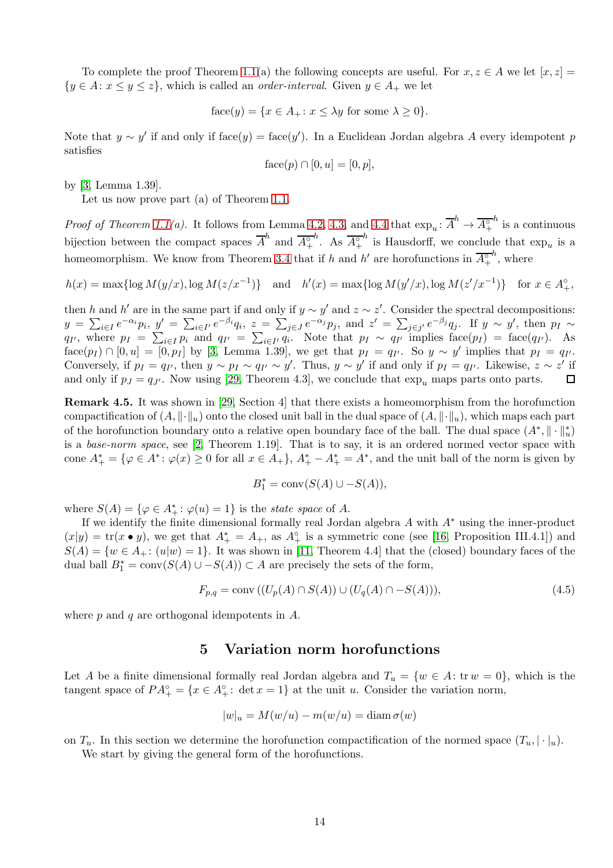To complete the proof Theorem [1.1\(](#page-1-0)a) the following concepts are useful. For  $x, z \in A$  we let  $[x, z] =$  ${y \in A : x \leq y \leq z}$ , which is called an *order-interval*. Given  $y \in A_+$  we let

face(y) = {
$$
x \in A_
$$
 :  $x \le \lambda y$  for some  $\lambda \ge 0$  }.

Note that  $y \sim y'$  if and only if face(y) = face(y'). In a Euclidean Jordan algebra A every idempotent p satisfies

face
$$
(p) \cap [0, u] = [0, p],
$$

by [\[3,](#page-20-0) Lemma 1.39].

Let us now prove part (a) of Theorem [1.1.](#page-1-0)

*Proof of Theorem [1.1\(](#page-1-0)a).* It follows from Lemma [4.2,](#page-9-2) [4.3,](#page-10-0) and [4.4](#page-11-1) that  $\exp_u: \overline{A}^h \to \overline{A^{\circ}_+}$  $h$  is a continuous bijection between the compact spaces  $\overline{A}^h$  and  $\overline{A^{\circ}_{+}}$ <sup>*h*</sup>. As  $\overline{A^{\circ}_+}$ <sup>h</sup> is Hausdorff, we conclude that  $\exp_u$  is a homeomorphism. We know from Theorem [3.4](#page-8-0) that if h and h' are horofunctions in  $\overline{A_{+}^{\circ}}$  $h$ , where

$$
h(x) = \max\{\log M(y/x), \log M(z/x^{-1})\} \quad \text{and} \quad h'(x) = \max\{\log M(y'/x), \log M(z'/x^{-1})\} \quad \text{for } x \in A_+^{\circ},
$$

then h and h' are in the same part if and only if  $y \sim y'$  and  $z \sim z'$ . Consider the spectral decompositions:  $y = \sum_{i \in I} e^{-\alpha_i} p_i$ ,  $y' = \sum_{i \in I'} e^{-\beta_i} q_i$ ,  $z = \sum_{j \in J} e^{-\alpha_j} p_j$ , and  $z' = \sum_{j \in J'} e^{-\beta_j} q_j$ . If  $y \sim y'$ , then  $p_I \sim$  $q_{I'}$ , where  $p_I = \sum_{i \in I} p_i$  and  $q_{I'} = \sum_{i \in I'} q_i$ . Note that  $p_I \sim q_{I'}$  implies  $face(p_I) = face(q_{I'})$ . As  $f \text{ace}(p_I) \cap [0, u] = [0, p_I]$  by [\[3,](#page-20-0) Lemma 1.39], we get that  $p_I = q_{I'}$ . So  $y \sim y'$  implies that  $p_I = q_{I'}$ . Conversely, if  $p_I = q_{I'}$ , then  $y \sim p_I \sim q_{I'} \sim y'$ . Thus,  $y \sim y'$  if and only if  $p_I = q_{I'}$ . Likewise,  $z \sim z'$  if and only if  $p_j = q_{j'}$ . Now using [\[29,](#page-21-3) Theorem 4.3], we conclude that  $\exp_u$  maps parts onto parts.  $\Box$ 

Remark 4.5. It was shown in [\[29,](#page-21-3) Section 4] that there exists a homeomorphism from the horofunction compactification of  $(A, \|\cdot\|_u)$  onto the closed unit ball in the dual space of  $(A, \|\cdot\|_u)$ , which maps each part of the horofunction boundary onto a relative open boundary face of the ball. The dual space  $(A^*, \| \cdot \|_u^*)$ is a base-norm space, see [\[2,](#page-20-16) Theorem 1.19]. That is to say, it is an ordered normed vector space with cone  $A^*_+ = \{\varphi \in A^* : \varphi(x) \geq 0 \text{ for all } x \in A_+\}, A^*_+ - A^*_+ = A^*$ , and the unit ball of the norm is given by

$$
B_1^* = \text{conv}(S(A) \cup -S(A)),
$$

where  $S(A) = {\varphi \in A^*_+ : \varphi(u) = 1}$  is the *state space* of A.

If we identify the finite dimensional formally real Jordan algebra A with A<sup>∗</sup> using the inner-product  $(x|y) = \text{tr}(x \bullet y)$ , we get that  $A^*_{+} = A_{+}$ , as  $A^{\circ}_{+}$  is a symmetric cone (see [\[16,](#page-20-2) Proposition III.4.1]) and  $S(A) = \{w \in A_+ : (u|w) = 1\}$ . It was shown in [\[11,](#page-20-17) Theorem 4.4] that the (closed) boundary faces of the dual ball  $B_1^* = \text{conv}(S(A) \cup -S(A)) \subset A$  are precisely the sets of the form,

$$
F_{p,q} = \text{conv}\left( (U_p(A) \cap S(A)) \cup (U_q(A) \cap -S(A)) \right),\tag{4.5}
$$

where  $p$  and  $q$  are orthogonal idempotents in  $A$ .

### 5 Variation norm horofunctions

Let A be a finite dimensional formally real Jordan algebra and  $T_u = \{w \in A : \text{tr } w = 0\}$ , which is the tangent space of  $PA_+^{\circ} = \{x \in A_+^{\circ} : \det x = 1\}$  at the unit u. Consider the variation norm,

$$
|w|_u = M(w/u) - m(w/u) = \text{diam}\,\sigma(w)
$$

on  $T_u$ . In this section we determine the horofunction compactification of the normed space  $(T_u, |\cdot|_u)$ .

We start by giving the general form of the horofunctions.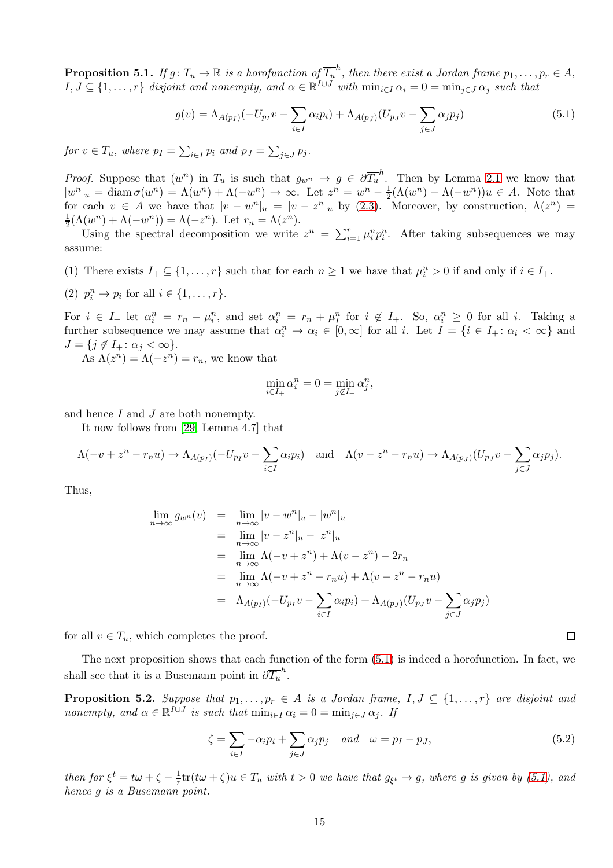<span id="page-14-1"></span>**Proposition 5.1.** If  $g: T_u \to \mathbb{R}$  is a horofunction of  $\overline{T_u}^h$ , then there exist a Jordan frame  $p_1, \ldots, p_r \in A$ ,  $I, J \subseteq \{1, \ldots, r\}$  disjoint and nonempty, and  $\alpha \in \mathbb{R}^{I \cup J}$  with  $\min_{i \in I} \alpha_i = 0 = \min_{j \in J} \alpha_j$  such that

<span id="page-14-0"></span>
$$
g(v) = \Lambda_{A(p_I)}(-U_{p_I}v - \sum_{i \in I} \alpha_i p_i) + \Lambda_{A(p_J)}(U_{p_J}v - \sum_{j \in J} \alpha_j p_j)
$$
(5.1)

for  $v \in T_u$ , where  $p_I = \sum_{i \in I} p_i$  and  $p_J = \sum_{j \in J} p_j$ .

*Proof.* Suppose that  $(w^n)$  in  $T_u$  is such that  $g_{w^n} \to g \in \partial \overline{T_u}^h$ . Then by Lemma [2.1](#page-3-0) we know that  $|w^n|_u = \text{diam }\sigma(w^n) = \Lambda(w^n) + \Lambda(-w^n) \to \infty.$  Let  $z^n = w^n - \frac{1}{2}$  $\frac{1}{2}(\Lambda(w^n) - \Lambda(-w^n))u \in A$ . Note that for each  $v \in A$  we have that  $|v - w^n|_u = |v - z^n|_u$  by [\(2.3\)](#page-4-1). Moreover, by construction,  $\Lambda(z^n)$ 1  $\frac{1}{2}(\Lambda(w^n) + \Lambda(-w^n)) = \Lambda(-z^n)$ . Let  $r_n = \Lambda(z^n)$ .

Using the spectral decomposition we write  $z^n = \sum_{i=1}^r \mu_i^n p_i^n$ . After taking subsequences we may assume:

(1) There exists  $I_+ \subseteq \{1, \ldots, r\}$  such that for each  $n \geq 1$  we have that  $\mu_i^n > 0$  if and only if  $i \in I_+$ .

(2) 
$$
p_i^n \rightarrow p_i
$$
 for all  $i \in \{1, \ldots, r\}$ .

For  $i \in I_+$  let  $\alpha_i^n = r_n - \mu_i^n$ , and set  $\alpha_i^n = r_n + \mu_i^n$  for  $i \notin I_+$ . So,  $\alpha_i^n \geq 0$  for all i. Taking a further subsequence we may assume that  $\alpha_i^n \to \alpha_i \in [0, \infty]$  for all i. Let  $I = \{i \in I_+ : \alpha_i < \infty\}$  and  $J = \{j \notin I_+ : \alpha_j < \infty\}.$ 

As  $\Lambda(z^n) = \Lambda(-z^n) = r_n$ , we know that

$$
\min_{i \in I_+} \alpha_i^n = 0 = \min_{j \notin I_+} \alpha_j^n,
$$

and hence I and J are both nonempty.

It now follows from [\[29,](#page-21-3) Lemma 4.7] that

$$
\Lambda(-v+z^n-r_nu)\to\Lambda_{A(p_I)}(-U_{p_I}v-\sum_{i\in I}\alpha_ip_i)\quad\text{and}\quad\Lambda(v-z^n-r_nu)\to\Lambda_{A(p_J)}(U_{p_J}v-\sum_{j\in J}\alpha_jp_j).
$$

Thus,

$$
\lim_{n \to \infty} g_{w^n}(v) = \lim_{n \to \infty} |v - w^n|_u - |w^n|_u
$$
\n
$$
= \lim_{n \to \infty} |v - z^n|_u - |z^n|_u
$$
\n
$$
= \lim_{n \to \infty} \Lambda(-v + z^n) + \Lambda(v - z^n) - 2r_n
$$
\n
$$
= \lim_{n \to \infty} \Lambda(-v + z^n - r_n u) + \Lambda(v - z^n - r_n u)
$$
\n
$$
= \Lambda_{A(p_I)}(-U_{p_I}v - \sum_{i \in I} \alpha_i p_i) + \Lambda_{A(p_J)}(U_{p_J}v - \sum_{j \in J} \alpha_j p_j)
$$

for all  $v \in T_u$ , which completes the proof.

The next proposition shows that each function of the form [\(5.1\)](#page-14-0) is indeed a horofunction. In fact, we shall see that it is a Busemann point in  $\partial \overline{T_u}^h$ .

<span id="page-14-2"></span>**Proposition 5.2.** Suppose that  $p_1, \ldots, p_r \in A$  is a Jordan frame,  $I, J \subseteq \{1, \ldots, r\}$  are disjoint and nonempty, and  $\alpha \in \mathbb{R}^{I \cup J}$  is such that  $\min_{i \in I} \alpha_i = 0 = \min_{j \in J} \alpha_j$ . If

$$
\zeta = \sum_{i \in I} -\alpha_i p_i + \sum_{j \in J} \alpha_j p_j \quad and \quad \omega = p_I - p_J,
$$
\n(5.2)

then for  $\xi^t = t\omega + \zeta - \frac{1}{r}$  $\frac{1}{r}\text{tr}(t\omega+\zeta)u\in T_u$  with  $t>0$  we have that  $g_{\xi^t}\to g$ , where g is given by  $(5.1)$ , and hence g is a Busemann point.

 $\Box$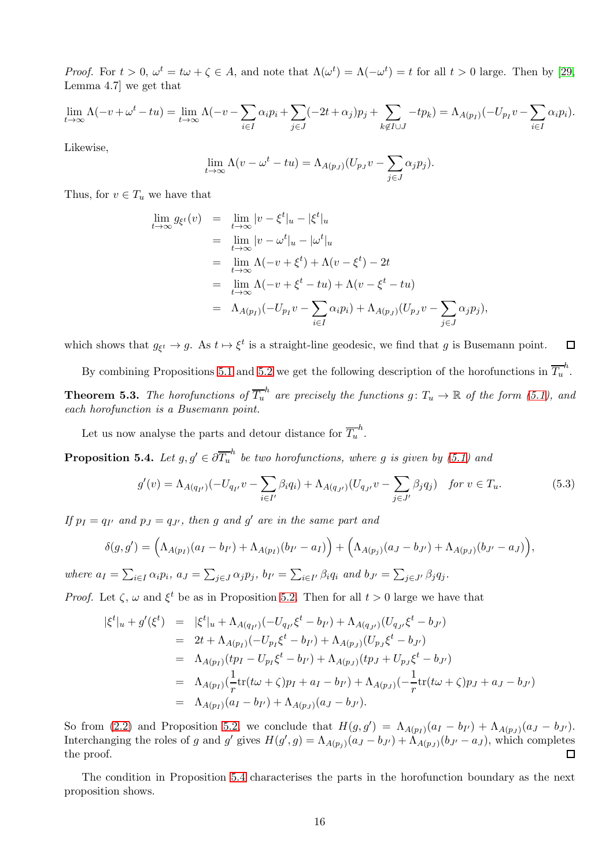*Proof.* For  $t > 0$ ,  $\omega^t = t\omega + \zeta \in A$ , and note that  $\Lambda(\omega^t) = \Lambda(-\omega^t) = t$  for all  $t > 0$  large. Then by [\[29,](#page-21-3) Lemma 4.7] we get that

$$
\lim_{t \to \infty} \Lambda(-v + \omega^t - tu) = \lim_{t \to \infty} \Lambda(-v - \sum_{i \in I} \alpha_i p_i + \sum_{j \in J} (-2t + \alpha_j) p_j + \sum_{k \notin I \cup J} -tp_k) = \Lambda_{A(p_I)}(-U_{p_I}v - \sum_{i \in I} \alpha_i p_i).
$$

Likewise,

$$
\lim_{t \to \infty} \Lambda(v - \omega^t - tu) = \Lambda_{A(p_J)}(U_{p_J}v - \sum_{j \in J} \alpha_j p_j).
$$

Thus, for  $v \in T_u$  we have that

$$
\lim_{t \to \infty} g_{\xi^t}(v) = \lim_{t \to \infty} |v - \xi^t|_u - |\xi^t|_u
$$
\n
$$
= \lim_{t \to \infty} |v - \omega^t|_u - |\omega^t|_u
$$
\n
$$
= \lim_{t \to \infty} \Lambda(-v + \xi^t) + \Lambda(v - \xi^t) - 2t
$$
\n
$$
= \lim_{t \to \infty} \Lambda(-v + \xi^t - tu) + \Lambda(v - \xi^t - tu)
$$
\n
$$
= \Lambda_{A(p_I)}(-U_{p_I}v - \sum_{i \in I} \alpha_i p_i) + \Lambda_{A(p_J)}(U_{p_J}v - \sum_{j \in J} \alpha_j p_j),
$$

which shows that  $g_{\xi^t} \to g$ . As  $t \mapsto \xi^t$  is a straight-line geodesic, we find that g is Busemann point.  $\Box$ 

By combining Propositions [5.1](#page-14-1) and [5.2](#page-14-2) we get the following description of the horofunctions in  $\overline{T_u}^h$ . **Theorem 5.3.** The horofunctions of  $\overline{T_u}^h$  are precisely the functions  $g: T_u \to \mathbb{R}$  of the form [\(5.1\)](#page-14-1), and

<span id="page-15-0"></span>each horofunction is a Busemann point.

Let us now analyse the parts and detour distance for  $\overline{T_u}^h$ .

<span id="page-15-1"></span>**Proposition 5.4.** Let  $g, g' \in \partial \overline{T_u}^h$  be two horofunctions, where g is given by [\(5.1\)](#page-14-1) and

<span id="page-15-2"></span>
$$
g'(v) = \Lambda_{A(q_{I'})}(-U_{q_{I'}}v - \sum_{i \in I'} \beta_i q_i) + \Lambda_{A(q_{J'})}(U_{q_{J'}}v - \sum_{j \in J'} \beta_j q_j) \quad \text{for } v \in T_u.
$$
 (5.3)

If  $p_I = q_{I'}$  and  $p_J = q_{J'}$ , then g and g' are in the same part and

$$
\delta(g,g') = \left(\Lambda_{A(p_I)}(a_I - b_{I'}) + \Lambda_{A(p_I)}(b_{I'} - a_I)\right) + \left(\Lambda_{A(p_J)}(a_J - b_{J'}) + \Lambda_{A(p_J)}(b_{J'} - a_J)\right),
$$

where  $a_I = \sum_{i \in I} \alpha_i p_i$ ,  $a_J = \sum_{j \in J} \alpha_j p_j$ ,  $b_{I'} = \sum_{i \in I'} \beta_i q_i$  and  $b_{J'} = \sum_{j \in J'} \beta_j q_j$ .

*Proof.* Let  $\zeta$ ,  $\omega$  and  $\xi^t$  be as in Proposition [5.2.](#page-14-2) Then for all  $t > 0$  large we have that

$$
\begin{split}\n|\xi^t|_u + g'(\xi^t) &= |\xi^t|_u + \Lambda_{A(q_{I'})}(-U_{q_{I'}}\xi^t - b_{I'}) + \Lambda_{A(q_{J'})}(U_{q_{J'}}\xi^t - b_{J'}) \\
&= 2t + \Lambda_{A(p_I)}(-U_{p_I}\xi^t - b_{I'}) + \Lambda_{A(p_J)}(U_{p_J}\xi^t - b_{J'}) \\
&= \Lambda_{A(p_I)}(tp_I - U_{p_I}\xi^t - b_{I'}) + \Lambda_{A(p_J)}(tp_J + U_{p_J}\xi^t - b_{J'}) \\
&= \Lambda_{A(p_I)}\left(\frac{1}{r}\text{tr}(t\omega + \zeta)p_I + a_I - b_{I'}\right) + \Lambda_{A(p_J)}\left(-\frac{1}{r}\text{tr}(t\omega + \zeta)p_J + a_J - b_{J'}\right) \\
&= \Lambda_{A(p_I)}(a_I - b_{I'}) + \Lambda_{A(p_J)}(a_J - b_{J'}).\n\end{split}
$$

So from [\(2.2\)](#page-4-0) and Proposition [5.2,](#page-14-2) we conclude that  $H(g,g') = \Lambda_{A(p_I)}(a_I - b_{I'}) + \Lambda_{A(p_J)}(a_J - b_{J'}).$ Interchanging the roles of g and g' gives  $H(g', g) = \Lambda_{A(p_j)}(a_J - b_{J'}) + \tilde{\Lambda}_{A(p_J)}(b_{J'} - a_J)$ , which completes the proof.  $\Box$ 

The condition in Proposition [5.4](#page-15-1) characterises the parts in the horofunction boundary as the next proposition shows.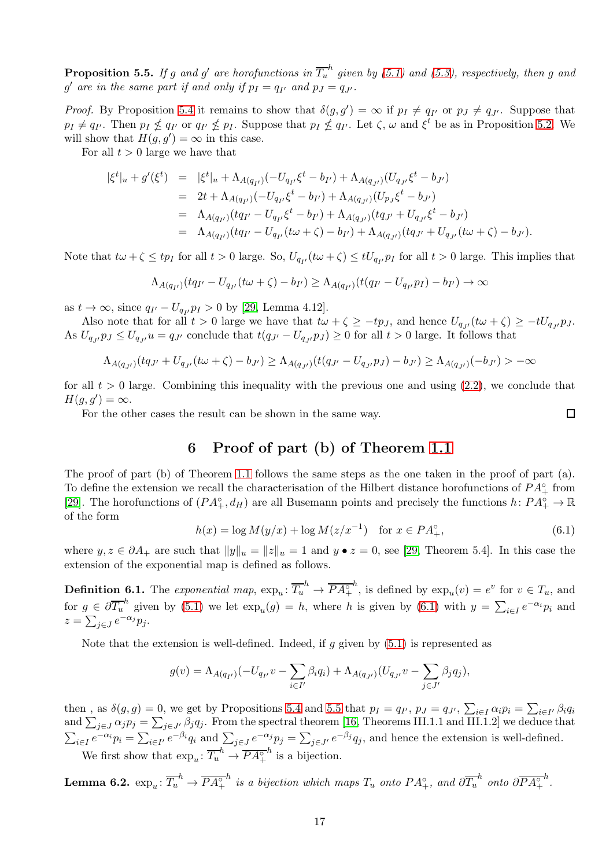<span id="page-16-0"></span>**Proposition 5.5.** If g and g' are horofunctions in  $\overline{T_u}^h$  given by [\(5.1\)](#page-14-0) and [\(5.3\)](#page-15-2), respectively, then g and g' are in the same part if and only if  $p_I = q_{I'}$  and  $p_J = q_{J'}$ .

*Proof.* By Proposition [5.4](#page-15-1) it remains to show that  $\delta(g, g') = \infty$  if  $p_I \neq q_{I'}$  or  $p_J \neq q_{J'}$ . Suppose that  $p_I \neq q_{I'}$ . Then  $p_I \nleq q_{I'}$  or  $q_{I'} \nleq p_I$ . Suppose that  $p_I \nleq q_{I'}$ . Let  $\zeta$ ,  $\omega$  and  $\xi^t$  be as in Proposition [5.2.](#page-14-2) We will show that  $H(g, g') = \infty$  in this case.

For all  $t > 0$  large we have that

$$
\begin{array}{rcl}\n|\xi^t|_u + g'(\xi^t) & = & |\xi^t|_u + \Lambda_{A(q_{I'})}(-U_{q_{I'}}\xi^t - b_{I'}) + \Lambda_{A(q_{J'})}(U_{q_{J'}}\xi^t - b_{J'}) \\
& = & 2t + \Lambda_{A(q_{I'})}(-U_{q_{I'}}\xi^t - b_{I'}) + \Lambda_{A(q_{J'})}(U_{p_{J}}\xi^t - b_{J'}) \\
& = & \Lambda_{A(q_{I'})}(tq_{I'} - U_{q_{I'}}\xi^t - b_{I'}) + \Lambda_{A(q_{J'})}(tq_{J'} + U_{q_{J'}}\xi^t - b_{J'}) \\
& = & \Lambda_{A(q_{I'})}(tq_{I'} - U_{q_{I'}}(t\omega + \zeta) - b_{I'}) + \Lambda_{A(q_{J'})}(tq_{J'} + U_{q_{J'}}(t\omega + \zeta) - b_{J'}).\n\end{array}
$$

Note that  $t\omega+\zeta \leq tp_I$  for all  $t > 0$  large. So,  $U_{q_{I'}}(t\omega+\zeta) \leq tU_{q_{I'}}p_I$  for all  $t > 0$  large. This implies that

$$
\Lambda_{A(q_{I'})}(tq_{I'} - U_{q_{I'}}(t\omega + \zeta) - b_{I'}) \geq \Lambda_{A(q_{I'})}(t(q_{I'} - U_{q_{I'}}p_I) - b_{I'}) \to \infty
$$

as  $t \to \infty$ , since  $q_{I'} - U_{q_{I'}} p_I > 0$  by [\[29,](#page-21-3) Lemma 4.12].

Also note that for all  $t > 0$  large we have that  $t\omega + \zeta \ge -tp_J$ , and hence  $U_{q_{J'}}(t\omega + \zeta) \ge -tU_{q_{J'}}p_J$ . As  $U_{q_{J'}} p_J \leq U_{q_{J'}} u = q_{J'}$  conclude that  $t(q_{J'} - U_{q_{J'}} p_J) \geq 0$  for all  $t > 0$  large. It follows that

$$
\Lambda_{A(q_{J'})}(tq_{J'}+U_{q_{J'}}(t\omega+\zeta)-b_{J'})\geq \Lambda_{A(q_{J'})}(t(q_{J'}-U_{q_{J'}}p_{J})-b_{J'})\geq \Lambda_{A(q_{J'})}(-b_{J'})>-\infty
$$

for all  $t > 0$  large. Combining this inequality with the previous one and using  $(2.2)$ , we conclude that  $H(g,g')=\infty.$ 

For the other cases the result can be shown in the same way.

# 6 Proof of part (b) of Theorem [1.1](#page-1-0)

The proof of part (b) of Theorem [1.1](#page-1-0) follows the same steps as the one taken in the proof of part (a). To define the extension we recall the characterisation of the Hilbert distance horofunctions of  $PA_{+}^{\circ}$  from [\[29\]](#page-21-3). The horofunctions of  $(PA^{\circ}_{+}, d_H)$  are all Busemann points and precisely the functions  $h: PA^{\circ}_{+} \to \mathbb{R}$ of the form

<span id="page-16-1"></span>
$$
h(x) = \log M(y/x) + \log M(z/x^{-1}) \quad \text{for } x \in PA_+^\circ,
$$
\n(6.1)

where  $y, z \in \partial A_+$  are such that  $||y||_u = ||z||_u = 1$  and  $y \bullet z = 0$ , see [\[29,](#page-21-3) Theorem 5.4]. In this case the extension of the exponential map is defined as follows.

**Definition 6.1.** The exponential map,  $\exp_u: \overline{T_u}^h \to \overline{PA_{+}^\circ}$ <sup>h</sup>, is defined by  $\exp_u(v) = e^v$  for  $v \in T_u$ , and for  $g \in \partial \overline{T_u}^h$  given by [\(5.1\)](#page-14-0) we let  $\exp_u(g) = h$ , where h is given by [\(6.1\)](#page-16-1) with  $y = \sum_{i \in I} e^{-\alpha_i} p_i$  and  $z = \sum_{j \in J} e^{-\alpha_j} p_j.$ 

Note that the extension is well-defined. Indeed, if g given by  $(5.1)$  is represented as

$$
g(v) = \Lambda_{A(q_{I'})}(-U_{q_{I'}}v - \sum_{i \in I'} \beta_i q_i) + \Lambda_{A(q_{J'})}(U_{q_{J'}}v - \sum_{j \in J'} \beta_j q_j),
$$

then, as  $\delta(g, g) = 0$ , we get by Propositions [5.4](#page-15-1) and [5.5](#page-16-0) that  $p_I = q_{I'}$ ,  $p_J = q_{J'}$ ,  $\sum_{i \in I} \alpha_i p_i = \sum_{i \in I'} \beta_i q_i$ and  $\sum_{j\in J}\alpha_jp_j=\sum_{j\in J'}\beta_jq_j$ . From the spectral theorem [\[16,](#page-20-2) Theorems III.1.1 and III.1.2] we deduce that  $\sum_{i\in I}e^{-\alpha_i}p_i=\sum_{i\in I'}e^{-\beta_i}q_i$  and  $\sum_{j\in J}e^{-\alpha_j}p_j=\sum_{j\in J'}e^{-\beta_j}q_j$ , and hence the extension is well-defined. We first show that  $\exp_u: \overline{T_u}^h \to \overline{PA_{+}^{\circ}}$  $h$  is a bijection.

<span id="page-16-2"></span> ${\rm \bf Lemma~6.2.}~\exp_u\colon \overline{T_u}^h\to \overline{PA_+^\circ}$  $h$  is a bijection which maps  $T_u$  onto  $PA_+^{\circ}$ , and  $\partial \overline{T_u}^h$  onto  $\partial \overline{PA_+^{\circ}}$  $\frac{h}{\cdot}$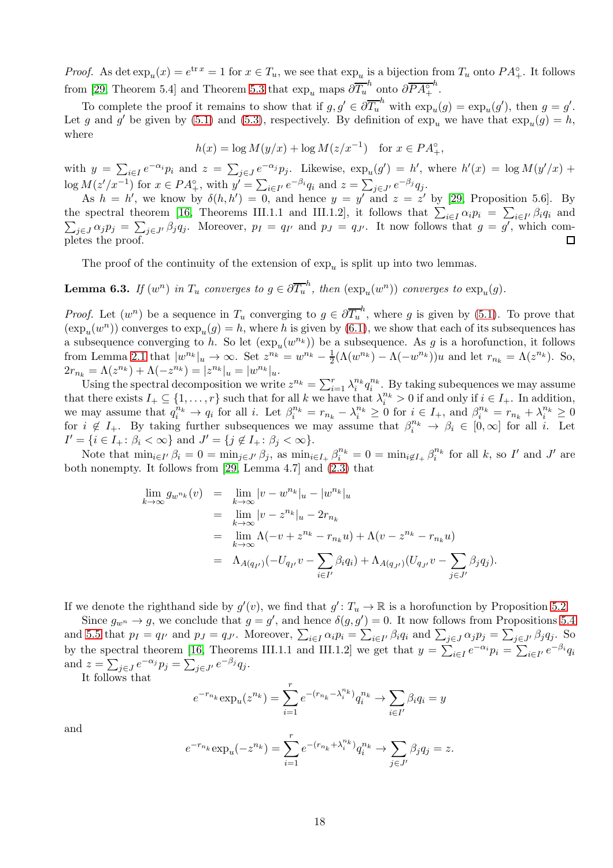*Proof.* As det  $\exp_u(x) = e^{\text{tr}x} = 1$  for  $x \in T_u$ , we see that  $\exp_u$  is a bijection from  $T_u$  onto  $PA_+^{\circ}$ . It follows from [\[29,](#page-21-3) Theorem 5.4] and Theorem [5.3](#page-15-0) that  $\exp_u$  maps  $\partial \overline{T_u}^h$  onto  $\partial \overline{PA_{+}^{\circ}}$ h .

To complete the proof it remains to show that if  $g, g' \in \partial \overline{T_u}^h$  with  $\exp_u(g) = \exp_u(g')$ , then  $g = g'$ . Let g and g' be given by [\(5.1\)](#page-14-0) and [\(5.3\)](#page-15-2), respectively. By definition of  $\exp_u$  we have that  $\exp_u(g) = h$ , where

$$
h(x) = \log M(y/x) + \log M(z/x^{-1}) \quad \text{for } x \in PA_+^\circ,
$$

with  $y = \sum_{i \in I} e^{-\alpha_i} p_i$  and  $z = \sum_{j \in J} e^{-\alpha_j} p_j$ . Likewise,  $\exp_u(g') = h'$ , where  $h'(x) = \log M(y'/x) +$  $\log M(z'/x^{-1})$  for  $x \in PA_+^{\circ}$ , with  $y' = \sum_{i \in I'} e^{-\beta_i} q_i$  and  $z = \sum_{j \in J'} e^{-\beta_j} q_j$ .

As  $h = h'$ , we know by  $\delta(h, h') = 0$ , and hence  $y = y'$  and  $z = z'$  by [\[29,](#page-21-3) Proposition 5.6]. By the spectral theorem [\[16,](#page-20-2) Theorems III.1.1 and III.1.2], it follows that  $\sum_{i \in I} \alpha_i p_i = \sum_{i \in I'} \beta_i q_i$  and  $\sum_{i \in I} \alpha_i p_j = \sum_{i \in I'} \beta_i q_i$ . Moreover,  $p_I = q_{I'}$  and  $p_J = q_{J'}$ . It now follows that  $g = g'$ , which com $j\in J\alpha_j p_j = \sum_{j\in J'} \beta_j q_j$ . Moreover,  $p_I = q_{I'}$  and  $p_J = q_{J'}$ . It now follows that  $g = g'$ , which completes the proof.  $\Box$ 

The proof of the continuity of the extension of  $\exp_u$  is split up into two lemmas.

<span id="page-17-0"></span>**Lemma 6.3.** If  $(w^n)$  in  $T_u$  converges to  $g \in \partial \overline{T_u}^h$ , then  $(\exp_u(w^n))$  converges to  $\exp_u(g)$ .

*Proof.* Let  $(w^n)$  be a sequence in  $T_u$  converging to  $g \in \partial \overline{T_u}^h$ , where g is given by [\(5.1\)](#page-14-0). To prove that  $(\exp_u(w^n))$  converges to  $\exp_u(g) = h$ , where h is given by [\(6.1\)](#page-16-1), we show that each of its subsequences has a subsequence converging to h. So let  $(\exp_u(w^{n_k}))$  be a subsequence. As g is a horofunction, it follows from Lemma [2.1](#page-3-0) that  $|w^{n_k}|_u \to \infty$ . Set  $z^{n_k} = w^{n_k} - \frac{1}{2}$  $\frac{1}{2}(\Lambda(w^{n_k}) - \Lambda(-w^{n_k}))u$  and let  $r_{n_k} = \Lambda(z^{n_k})$ . So,  $2r_{n_k} = \Lambda(z^{n_k}) + \Lambda(-z^{n_k}) = |z^{n_k}|_u = |w^{n_k}|_u.$ 

Using the spectral decomposition we write  $z^{n_k} = \sum_{i=1}^r \lambda_i^{n_k} q_i^{n_k}$ . By taking subequences we may assume that there exists  $I_+ \subseteq \{1, \ldots, r\}$  such that for all k we have that  $\lambda_i^{n_k} > 0$  if and only if  $i \in I_+$ . In addition, we may assume that  $q_i^{n_k} \to q_i$  for all i. Let  $\beta_i^{n_k} = r_{n_k} - \lambda_i^{n_k} \geq 0$  for  $i \in I_+$ , and  $\beta_i^{n_k} = r_{n_k} + \lambda_i^{n_k} \geq 0$ for  $i \notin I_+$ . By taking further subsequences we may assume that  $\beta_i^{n_k} \to \beta_i \in [0,\infty]$  for all i. Let  $I' = \{i \in I_+ : \beta_i < \infty\}$  and  $J' = \{j \notin I_+ : \beta_j < \infty\}.$ 

Note that  $\min_{i \in I'} \beta_i = 0 = \min_{j \in J'} \beta_j$ , as  $\min_{i \in I_+} \beta_i^{n_k} = 0 = \min_{i \notin I_+} \beta_i^{n_k}$  for all k, so I' and J' are both nonempty. It follows from [\[29,](#page-21-3) Lemma 4.7] and [\(2.3\)](#page-4-1) that

$$
\lim_{k \to \infty} g_{w^{n_k}}(v) = \lim_{k \to \infty} |v - w^{n_k}|_u - |w^{n_k}|_u
$$
\n
$$
= \lim_{k \to \infty} |v - z^{n_k}|_u - 2r_{n_k}
$$
\n
$$
= \lim_{k \to \infty} \Lambda(-v + z^{n_k} - r_{n_k}u) + \Lambda(v - z^{n_k} - r_{n_k}u)
$$
\n
$$
= \Lambda_{A(q_{I'})}(-U_{q_{I'}}v - \sum_{i \in I'} \beta_i q_i) + \Lambda_{A(q_{J'})}(U_{q_{J'}}v - \sum_{j \in J'} \beta_j q_j).
$$

If we denote the righthand side by  $g'(v)$ , we find that  $g': T_u \to \mathbb{R}$  is a horofunction by Proposition [5.2.](#page-14-2)

Since  $g_{w^n} \to g$ , we conclude that  $g = g'$ , and hence  $\delta(g, g') = 0$ . It now follows from Propositions [5.4](#page-15-1) and [5.5](#page-16-0) that  $p_I = q_{I'}$  and  $p_J = q_{J'}$ . Moreover,  $\sum_{i \in I} \alpha_i p_i = \sum_{i \in I'} \beta_i q_i$  and  $\sum_{j \in J} \alpha_j p_j = \sum_{j \in J'} \beta_j q_j$ . So by the spectral theorem [\[16,](#page-20-2) Theorems III.1.1 and III.1.2] we get that  $y = \sum_{i \in I} e^{-\alpha_i} p_i = \sum_{i \in I'} e^{-\beta_i} q_i$ and  $z = \sum_{j \in J} e^{-\alpha_j} p_j = \sum_{j \in J'} e^{-\beta_j} q_j$ .

It follows that

$$
e^{-r_{n_k}} \exp_u(z^{n_k}) = \sum_{i=1}^r e^{-(r_{n_k} - \lambda_i^{n_k})} q_i^{n_k} \to \sum_{i \in I'} \beta_i q_i = y
$$

and

$$
e^{-r_{n_k}} \exp_u(-z^{n_k}) = \sum_{i=1}^r e^{-(r_{n_k} + \lambda_i^{n_k})} q_i^{n_k} \to \sum_{j \in J'} \beta_j q_j = z.
$$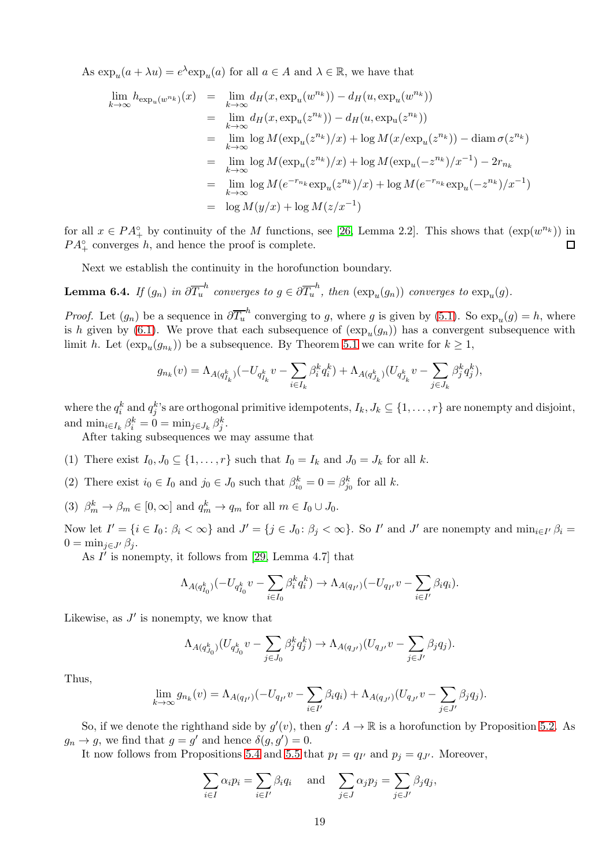As  $\exp_u(a + \lambda u) = e^{\lambda} \exp_u(a)$  for all  $a \in A$  and  $\lambda \in \mathbb{R}$ , we have that

$$
\lim_{k \to \infty} h_{\exp_u(w^{n_k})}(x) = \lim_{k \to \infty} d_H(x, \exp_u(w^{n_k})) - d_H(u, \exp_u(w^{n_k}))
$$
\n
$$
= \lim_{k \to \infty} d_H(x, \exp_u(z^{n_k})) - d_H(u, \exp_u(z^{n_k}))
$$
\n
$$
= \lim_{k \to \infty} \log M(\exp_u(z^{n_k})/x) + \log M(x/\exp_u(z^{n_k})) - \operatorname{diam} \sigma(z^{n_k})
$$
\n
$$
= \lim_{k \to \infty} \log M(\exp_u(z^{n_k})/x) + \log M(\exp_u(-z^{n_k})/x^{-1}) - 2r_{n_k}
$$
\n
$$
= \lim_{k \to \infty} \log M(e^{-r_{n_k}} \exp_u(z^{n_k})/x) + \log M(e^{-r_{n_k}} \exp_u(-z^{n_k})/x^{-1})
$$
\n
$$
= \log M(y/x) + \log M(z/x^{-1})
$$

for all  $x \in PA<sup>o</sup>$  by continuity of the M functions, see [\[26,](#page-21-19) Lemma 2.2]. This shows that  $(\exp(w^{n_k}))$  in  $PA_{+}^{\circ}$  converges h, and hence the proof is complete.  $\Box$ 

Next we establish the continuity in the horofunction boundary.

<span id="page-18-0"></span>**Lemma 6.4.** If  $(g_n)$  in  $\partial \overline{T_u}^h$  converges to  $g \in \partial \overline{T_u}^h$ , then  $(\exp_u(g_n))$  converges to  $\exp_u(g)$ .

*Proof.* Let  $(g_n)$  be a sequence in  $\partial \overline{T_u}^h$  converging to g, where g is given by [\(5.1\)](#page-14-0). So  $\exp_u(g) = h$ , where is h given by [\(6.1\)](#page-16-1). We prove that each subsequence of  $(\exp_u(g_n))$  has a convergent subsequence with limit h. Let  $(\exp_u(g_{n_k}))$  be a subsequence. By Theorem [5.1](#page-14-1) we can write for  $k \geq 1$ ,

$$
g_{n_k}(v) = \Lambda_{A(q_{I_k}^k)}(-U_{q_{I_k}^k}v - \sum_{i \in I_k} \beta_i^k q_i^k) + \Lambda_{A(q_{J_k}^k)}(U_{q_{J_k}^k}v - \sum_{j \in J_k} \beta_j^k q_j^k),
$$

where the  $q_i^k$  and  $q_j^k$ 's are orthogonal primitive idempotents,  $I_k, J_k \subseteq \{1, \ldots, r\}$  are nonempty and disjoint, and  $\min_{i \in I_k} \beta_i^k = 0 = \min_{j \in J_k} \beta_j^k$ .

After taking subsequences we may assume that

(1) There exist  $I_0, J_0 \subseteq \{1, \ldots, r\}$  such that  $I_0 = I_k$  and  $J_0 = J_k$  for all k.

(2) There exist  $i_0 \in I_0$  and  $j_0 \in J_0$  such that  $\beta_{i_0}^k = 0 = \beta_{j_0}^k$  for all k.

(3)  $\beta_m^k \to \beta_m \in [0, \infty]$  and  $q_m^k \to q_m$  for all  $m \in I_0 \cup J_0$ .

Now let  $I' = \{i \in I_0 : \beta_i < \infty\}$  and  $J' = \{j \in J_0 : \beta_j < \infty\}$ . So I' and J' are nonempty and  $\min_{i \in I'} \beta_i =$  $0 = \min_{i \in J'} \beta_i$ .

As  $I'$  is nonempty, it follows from [\[29,](#page-21-3) Lemma 4.7] that

$$
\Lambda_{A(q_{I_0}^k)}(-U_{q_{I_0}^k}v-\sum_{i\in I_0}\beta_i^kq_i^k)\to \Lambda_{A(q_{I'})}(-U_{q_{I'}}v-\sum_{i\in I'}\beta_iq_i).
$$

Likewise, as  $J'$  is nonempty, we know that

$$
\Lambda_{A(q_{J_0}^k)} (U_{q_{J_0}^k} v - \sum_{j \in J_0} \beta_j^k q_j^k) \to \Lambda_{A(q_{J'})} (U_{q_{J'}} v - \sum_{j \in J'} \beta_j q_j).
$$

Thus,

$$
\lim_{k \to \infty} g_{n_k}(v) = \Lambda_{A(q_{I'})}(-U_{q_{I'}}v - \sum_{i \in I'} \beta_i q_i) + \Lambda_{A(q_{J'})}(U_{q_{J'}}v - \sum_{j \in J'} \beta_j q_j).
$$

So, if we denote the righthand side by  $g'(v)$ , then  $g' : A \to \mathbb{R}$  is a horofunction by Proposition [5.2.](#page-14-2) As  $g_n \to g$ , we find that  $g = g'$  and hence  $\delta(g, g') = 0$ .

It now follows from Propositions [5.4](#page-15-1) and [5.5](#page-16-0) that  $p_I = q_{I'}$  and  $p_j = q_{J'}$ . Moreover,

$$
\sum_{i \in I} \alpha_i p_i = \sum_{i \in I'} \beta_i q_i \quad \text{and} \quad \sum_{j \in J} \alpha_j p_j = \sum_{j \in J'} \beta_j q_j,
$$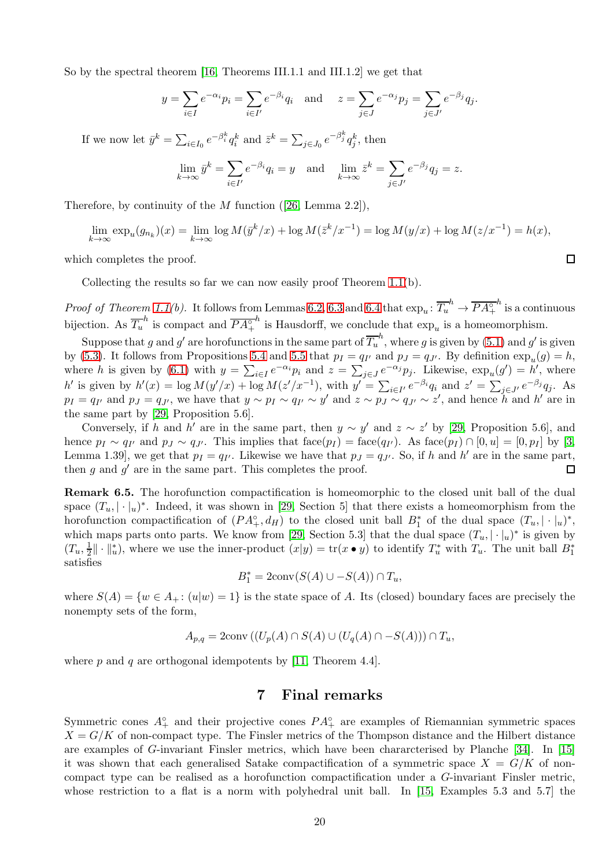So by the spectral theorem [\[16,](#page-20-2) Theorems III.1.1 and III.1.2] we get that

$$
y = \sum_{i \in I} e^{-\alpha_i} p_i = \sum_{i \in I'} e^{-\beta_i} q_i
$$
 and  $z = \sum_{j \in J} e^{-\alpha_j} p_j = \sum_{j \in J'} e^{-\beta_j} q_j$ .

If we now let  $\bar{y}^k = \sum_{i \in I_0} e^{-\beta_i^k} q_i^k$  and  $\bar{z}^k = \sum_{j \in J_0} e^{-\beta_j^k} q_j^k$ , then

$$
\lim_{k \to \infty} \bar{y}^k = \sum_{i \in I'} e^{-\beta_i} q_i = y \text{ and } \lim_{k \to \infty} \bar{z}^k = \sum_{j \in J'} e^{-\beta_j} q_j = z.
$$

Therefore, by continuity of the  $M$  function ([\[26,](#page-21-19) Lemma 2.2]),

$$
\lim_{k \to \infty} \exp_u(g_{n_k})(x) = \lim_{k \to \infty} \log M(\bar{y}^k/x) + \log M(\bar{z}^k/x^{-1}) = \log M(y/x) + \log M(z/x^{-1}) = h(x),
$$

which completes the proof.

Collecting the results so far we can now easily proof Theorem [1.1\(](#page-1-0)b).

*Proof of Theorem [1.1\(](#page-1-0)b).* It follows from Lemmas [6.2,](#page-16-2) [6.3](#page-17-0) and [6.4](#page-18-0) that  $\exp_u: \overline{T_u}^h \to \overline{PA_{+}^\circ}$  $h$  is a continuous bijection. As  $\overline{T_u}^h$  is compact and  $\overline{PA_+^{\circ}}$ h is Hausdorff, we conclude that  $\exp_u$  is a homeomorphism.

Suppose that g and g' are horofunctions in the same part of  $\overline{T_u}^h$ , where g is given by  $(5.1)$  and g' is given by [\(5.3\)](#page-15-2). It follows from Propositions [5.4](#page-15-1) and [5.5](#page-16-0) that  $p_I = q_{I'}$  and  $p_J = q_{J'}$ . By definition  $\exp_u(g) = h$ , where h is given by [\(6.1\)](#page-16-1) with  $y = \sum_{i \in I} e^{-\alpha_i} p_i$  and  $z = \sum_{j \in J} e^{-\alpha_j} p_j$ . Likewise,  $\exp_u(g') = h'$ , where h' is given by  $h'(x) = \log M(y'/x) + \log M(z'/x^{-1})$ , with  $y' = \sum_{i \in I'} e^{-\beta_i} q_i$  and  $z' = \sum_{j \in J'} e^{-\beta_j} q_j$ . As  $p_I = q_{I'}$  and  $p_J = q_{J'}$ , we have that  $y \sim p_I \sim q_{I'} \sim y'$  and  $z \sim p_J \sim q_{J'} \sim z'$ , and hence h and h' are in the same part by [\[29,](#page-21-3) Proposition 5.6].

Conversely, if h and h' are in the same part, then  $y \sim y'$  and  $z \sim z'$  by [\[29,](#page-21-3) Proposition 5.6], and hence  $p_I \sim q_{I'}$  and  $p_J \sim q_{J'}$ . This implies that  $face(p_I) = face(q_{I'})$ . As  $face(p_I) \cap [0, u] = [0, p_I]$  by [\[3,](#page-20-0) Lemma 1.39, we get that  $p_I = q_{I'}$ . Likewise we have that  $p_J = q_{J'}$ . So, if h and h' are in the same part, then  $g$  and  $g'$  are in the same part. This completes the proof.  $\Box$ 

Remark 6.5. The horofunction compactification is homeomorphic to the closed unit ball of the dual space  $(T_u, |\cdot|_u)^*$ . Indeed, it was shown in [\[29,](#page-21-3) Section 5] that there exists a homeomorphism from the horofunction compactification of  $(PA^{\circ}_+, d_H)$  to the closed unit ball  $B^*_1$  of the dual space  $(T_u, |\cdot|_u)^*$ , which maps parts onto parts. We know from [\[29,](#page-21-3) Section 5.3] that the dual space  $(T_u, |\cdot|_u)^*$  is given by  $(T_u,\frac{1}{2}$  $\frac{1}{2} \|\cdot\|_u^*$ , where we use the inner-product  $(x|y) = \text{tr}(x \bullet y)$  to identify  $T_u^*$  with  $T_u$ . The unit ball  $B_1^*$ satisfies

$$
B_1^* = 2\text{conv}(S(A) \cup -S(A)) \cap T_u,
$$

where  $S(A) = \{w \in A_+ : (u|w) = 1\}$  is the state space of A. Its (closed) boundary faces are precisely the nonempty sets of the form,

$$
A_{p,q} = 2\text{conv}\left(\left(U_p(A) \cap S(A) \cup \left(U_q(A) \cap -S(A)\right)\right) \cap T_u\right),\,
$$

where p and q are orthogonal idempotents by [\[11,](#page-20-17) Theorem 4.4].

## 7 Final remarks

Symmetric cones  $A^{\circ}_{+}$  and their projective cones  $PA^{\circ}_{+}$  are examples of Riemannian symmetric spaces  $X = G/K$  of non-compact type. The Finsler metrics of the Thompson distance and the Hilbert distance are examples of G-invariant Finsler metrics, which have been chararcterised by Planche [\[34\]](#page-21-21). In [\[15\]](#page-20-3) it was shown that each generalised Satake compactification of a symmetric space  $X = G/K$  of noncompact type can be realised as a horofunction compactification under a G-invariant Finsler metric, whose restriction to a flat is a norm with polyhedral unit ball. In [\[15,](#page-20-3) Examples 5.3 and 5.7] the

 $\Box$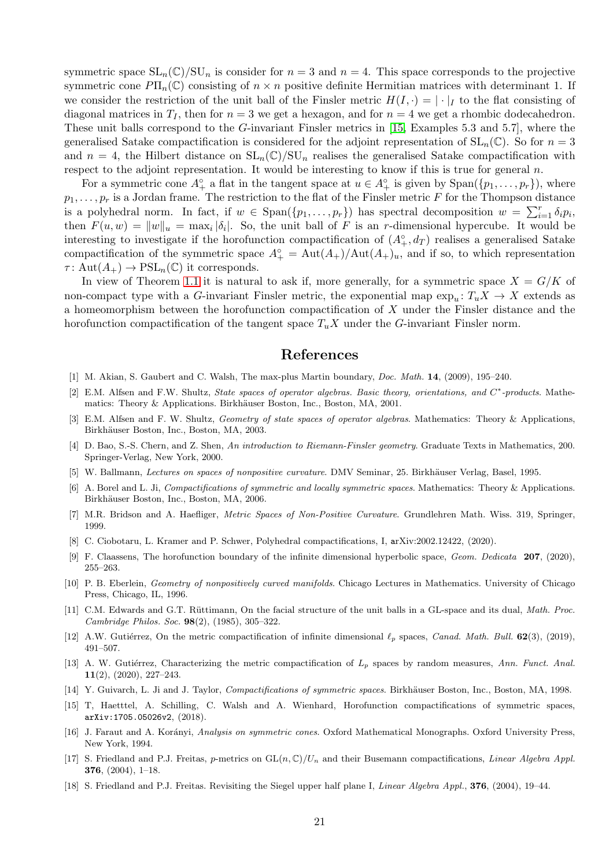symmetric space  $SL_n(\mathbb{C})/SU_n$  is consider for  $n=3$  and  $n=4$ . This space corresponds to the projective symmetric cone  $P\Pi_n(\mathbb{C})$  consisting of  $n \times n$  positive definite Hermitian matrices with determinant 1. If we consider the restriction of the unit ball of the Finsler metric  $H(I, \cdot) = |\cdot|_I$  to the flat consisting of diagonal matrices in  $T_I$ , then for  $n = 3$  we get a hexagon, and for  $n = 4$  we get a rhombic dodecahedron. These unit balls correspond to the G-invariant Finsler metrics in [\[15,](#page-20-3) Examples 5.3 and 5.7], where the generalised Satake compactification is considered for the adjoint representation of  $SL_n(\mathbb{C})$ . So for  $n=3$ and  $n = 4$ , the Hilbert distance on  $SL_n(\mathbb{C})/SU_n$  realises the generalised Satake compactification with respect to the adjoint representation. It would be interesting to know if this is true for general  $n$ .

For a symmetric cone  $A^{\circ}_{+}$  a flat in the tangent space at  $u \in A^{\circ}_{+}$  is given by  $\text{Span}(\{p_1, \ldots, p_r\})$ , where  $p_1, \ldots, p_r$  is a Jordan frame. The restriction to the flat of the Finsler metric F for the Thompson distance is a polyhedral norm. In fact, if  $w \in \text{Span}(\{p_1, \ldots, p_r\})$  has spectral decomposition  $w = \sum_{i=1}^r \delta_i p_i$ , then  $F(u, w) = ||w||_u = \max_i |\delta_i|$ . So, the unit ball of F is an r-dimensional hypercube. It would be interesting to investigate if the horofunction compactification of  $(A^{\circ}_{+}, d_T)$  realises a generalised Satake compactification of the symmetric space  $A^{\circ}_{+} = \text{Aut}(A_{+})/\text{Aut}(A_{+})_{u}$ , and if so, to which representation  $\tau: \text{Aut}(A_+) \to \text{PSL}_n(\mathbb{C})$  it corresponds.

In view of Theorem [1.1](#page-1-0) it is natural to ask if, more generally, for a symmetric space  $X = G/K$  of non-compact type with a G-invariant Finsler metric, the exponential map  $\exp_u: T_uX \to X$  extends as a homeomorphism between the horofunction compactification of X under the Finsler distance and the horofunction compactification of the tangent space  $T_uX$  under the G-invariant Finsler norm.

# References

- <span id="page-20-16"></span><span id="page-20-15"></span>[1] M. Akian, S. Gaubert and C. Walsh, The max-plus Martin boundary, Doc. Math. 14, (2009), 195–240.
- [2] E.M. Alfsen and F.W. Shultz, State spaces of operator algebras. Basic theory, orientations, and C<sup>\*</sup>-products. Mathematics: Theory & Applications. Birkhäuser Boston, Inc., Boston, MA, 2001.
- <span id="page-20-0"></span>[3] E.M. Alfsen and F. W. Shultz, Geometry of state spaces of operator algebras. Mathematics: Theory & Applications, Birkhäuser Boston, Inc., Boston, MA, 2003.
- <span id="page-20-1"></span>[4] D. Bao, S.-S. Chern, and Z. Shen, An introduction to Riemann-Finsler geometry. Graduate Texts in Mathematics, 200. Springer-Verlag, New York, 2000.
- <span id="page-20-13"></span><span id="page-20-4"></span>[5] W. Ballmann, Lectures on spaces of nonpositive curvature. DMV Seminar, 25. Birkhäuser Verlag, Basel, 1995.
- [6] A. Borel and L. Ji, Compactifications of symmetric and locally symmetric spaces. Mathematics: Theory & Applications. Birkhäuser Boston, Inc., Boston, MA, 2006.
- <span id="page-20-14"></span><span id="page-20-10"></span>[7] M.R. Bridson and A. Haefliger, Metric Spaces of Non-Positive Curvature. Grundlehren Math. Wiss. 319, Springer, 1999.
- <span id="page-20-11"></span>[8] C. Ciobotaru, L. Kramer and P. Schwer, Polyhedral compactifications, I, arXiv:2002.12422, (2020).
- [9] F. Claassens, The horofunction boundary of the infinite dimensional hyperbolic space, Geom. Dedicata 207, (2020), 255–263.
- <span id="page-20-12"></span>[10] P. B. Eberlein, Geometry of nonpositively curved manifolds. Chicago Lectures in Mathematics. University of Chicago Press, Chicago, IL, 1996.
- <span id="page-20-17"></span>[11] C.M. Edwards and G.T. Rüttimann, On the facial structure of the unit balls in a GL-space and its dual, Math. Proc. Cambridge Philos. Soc. 98(2), (1985), 305–322.
- <span id="page-20-8"></span>[12] A.W. Gutiérrez, On the metric compactification of infinite dimensional  $\ell_p$  spaces, Canad. Math. Bull. 62(3), (2019), 491–507.
- <span id="page-20-9"></span>[13] A. W. Gutiérrez, Characterizing the metric compactification of  $L_p$  spaces by random measures, Ann. Funct. Anal. 11(2), (2020), 227–243.
- <span id="page-20-5"></span><span id="page-20-3"></span>[14] Y. Guivarch, L. Ji and J. Taylor, Compactifications of symmetric spaces. Birkhäuser Boston, Inc., Boston, MA, 1998.
- [15] T, Haetttel, A. Schilling, C. Walsh and A. Wienhard, Horofunction compactifications of symmetric spaces, arXiv:1705.05026v2, (2018).
- <span id="page-20-2"></span>[16] J. Faraut and A. Korányi, Analysis on symmetric cones. Oxford Mathematical Monographs. Oxford University Press, New York, 1994.
- <span id="page-20-7"></span>[17] S. Friedland and P.J. Freitas, p-metrics on  $GL(n, \mathbb{C})/U_n$  and their Busemann compactifications, *Linear Algebra Appl.* 376, (2004), 1–18.
- <span id="page-20-6"></span>[18] S. Friedland and P.J. Freitas. Revisiting the Siegel upper half plane I, Linear Algebra Appl., 376, (2004), 19–44.